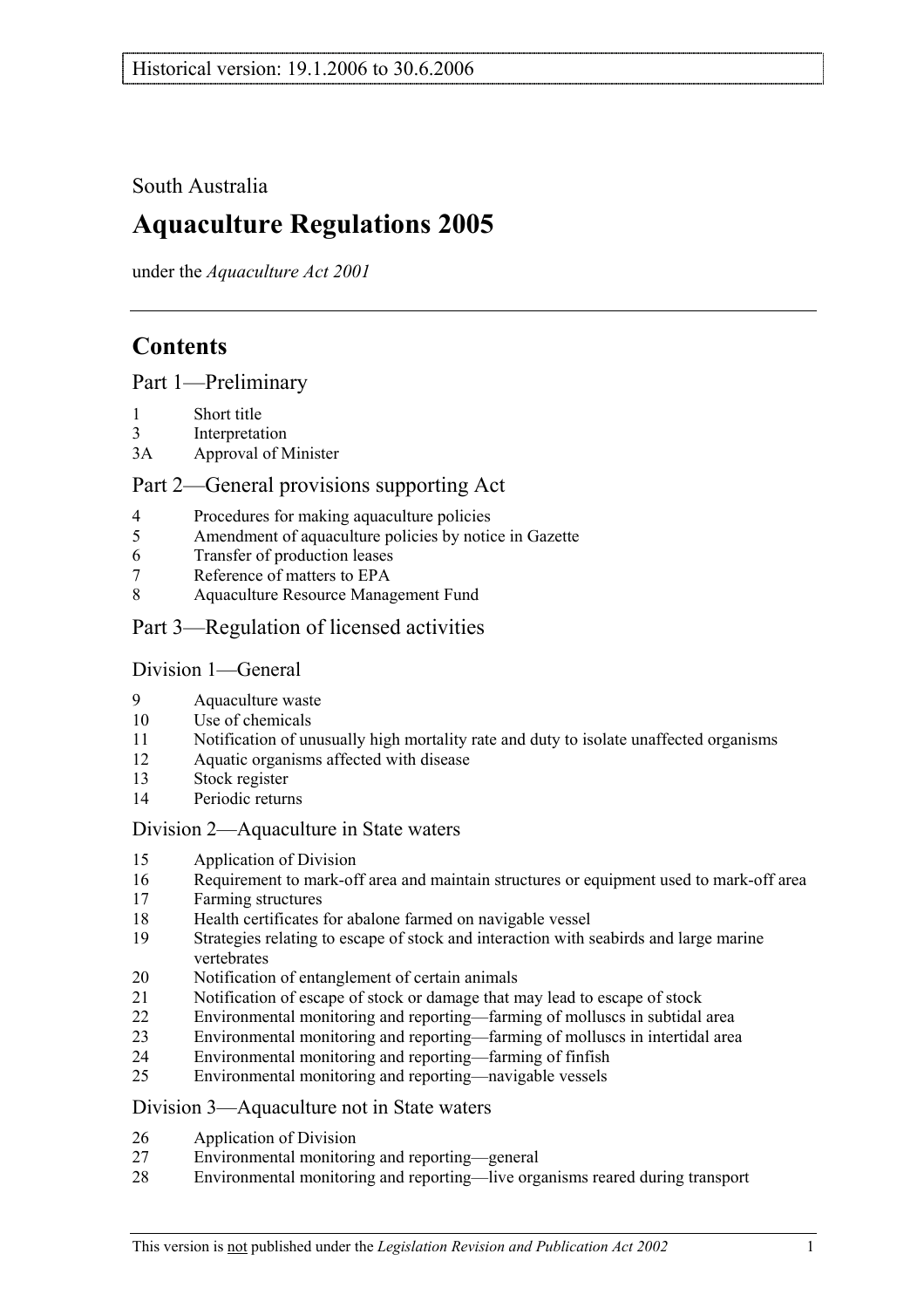## South Australia

# **Aquaculture Regulations 2005**

under the *Aquaculture Act 2001*

# **Contents**

Part 1—Preliminary

- 1 Short title
- 3 Interpretation
- 3A Approval of Minister

## Part 2—General provisions supporting Act

- 4 Procedures for making aquaculture policies
- 5 Amendment of aquaculture policies by notice in Gazette
- 6 Transfer of production leases
- 7 Reference of matters to EPA
- 8 Aquaculture Resource Management Fund
- Part 3—Regulation of licensed activities

### Division 1—General

- 9 Aquaculture waste
- 10 Use of chemicals
- 11 Notification of unusually high mortality rate and duty to isolate unaffected organisms
- 12 Aquatic organisms affected with disease
- 13 Stock register
- 14 Periodic returns

### Division 2—Aquaculture in State waters

- 15 Application of Division
- 16 Requirement to mark-off area and maintain structures or equipment used to mark-off area
- 17 Farming structures
- 18 Health certificates for abalone farmed on navigable vessel
- 19 Strategies relating to escape of stock and interaction with seabirds and large marine vertebrates
- 20 Notification of entanglement of certain animals
- 21 Notification of escape of stock or damage that may lead to escape of stock
- 22 Environmental monitoring and reporting—farming of molluscs in subtidal area
- 23 Environmental monitoring and reporting—farming of molluscs in intertidal area
- 24 Environmental monitoring and reporting—farming of finfish
- 25 Environmental monitoring and reporting—navigable vessels

### Division 3—Aquaculture not in State waters

- 26 Application of Division
- 27 Environmental monitoring and reporting—general
- 28 Environmental monitoring and reporting—live organisms reared during transport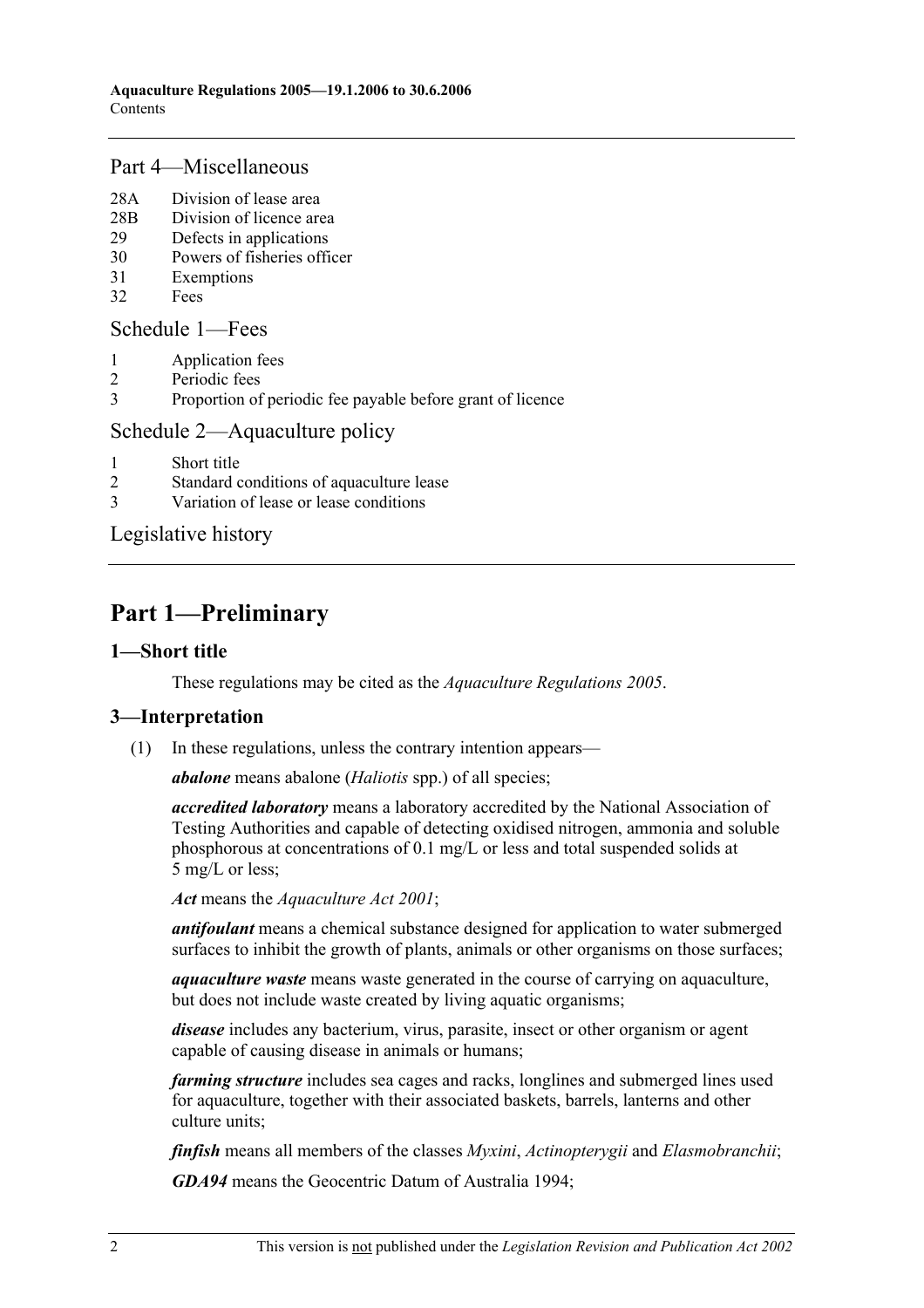### Part 4—Miscellaneous

- 28A Division of lease area
- 28B Division of licence area
- 29 Defects in applications
- 30 Powers of fisheries officer
- 31 Exemptions
- 32 Fees

### Schedule 1—Fees

- 1 Application fees
- 2 Periodic fees
- 3 Proportion of periodic fee payable before grant of licence

## Schedule 2—Aquaculture policy

- 1 Short title
- 2 Standard conditions of aquaculture lease
- 3 Variation of lease or lease conditions

Legislative history

# **Part 1—Preliminary**

## **1—Short title**

These regulations may be cited as the *Aquaculture Regulations 2005*.

## **3—Interpretation**

(1) In these regulations, unless the contrary intention appears—

*abalone* means abalone (*Haliotis* spp.) of all species;

*accredited laboratory* means a laboratory accredited by the National Association of Testing Authorities and capable of detecting oxidised nitrogen, ammonia and soluble phosphorous at concentrations of 0.1 mg/L or less and total suspended solids at 5 mg/L or less;

*Act* means the *Aquaculture Act 2001*;

*antifoulant* means a chemical substance designed for application to water submerged surfaces to inhibit the growth of plants, animals or other organisms on those surfaces;

*aquaculture waste* means waste generated in the course of carrying on aquaculture, but does not include waste created by living aquatic organisms;

*disease* includes any bacterium, virus, parasite, insect or other organism or agent capable of causing disease in animals or humans;

*farming structure* includes sea cages and racks, longlines and submerged lines used for aquaculture, together with their associated baskets, barrels, lanterns and other culture units;

*finfish* means all members of the classes *Myxini*, *Actinopterygii* and *Elasmobranchii*;

*GDA94* means the Geocentric Datum of Australia 1994;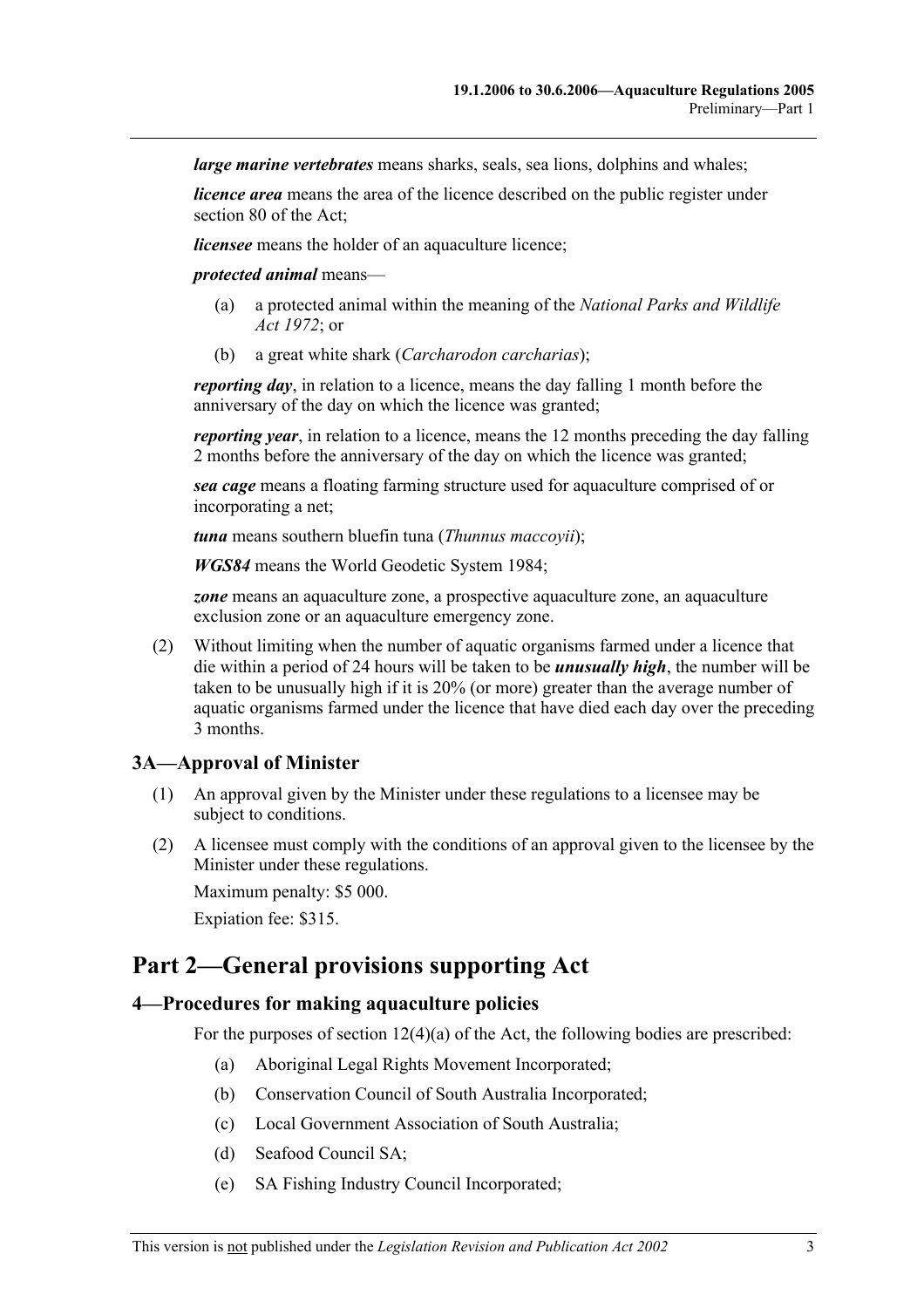*large marine vertebrates* means sharks, seals, sea lions, dolphins and whales;

*licence area* means the area of the licence described on the public register under section 80 of the Act;

*licensee* means the holder of an aquaculture licence;

*protected animal* means—

- (a) a protected animal within the meaning of the *National Parks and Wildlife Act 1972*; or
- (b) a great white shark (*Carcharodon carcharias*);

*reporting day*, in relation to a licence, means the day falling 1 month before the anniversary of the day on which the licence was granted;

*reporting year*, in relation to a licence, means the 12 months preceding the day falling 2 months before the anniversary of the day on which the licence was granted;

*sea cage* means a floating farming structure used for aquaculture comprised of or incorporating a net;

*tuna* means southern bluefin tuna (*Thunnus maccoyii*);

*WGS84* means the World Geodetic System 1984;

*zone* means an aquaculture zone, a prospective aquaculture zone, an aquaculture exclusion zone or an aquaculture emergency zone.

 (2) Without limiting when the number of aquatic organisms farmed under a licence that die within a period of 24 hours will be taken to be *unusually high*, the number will be taken to be unusually high if it is 20% (or more) greater than the average number of aquatic organisms farmed under the licence that have died each day over the preceding 3 months.

#### **3A—Approval of Minister**

- (1) An approval given by the Minister under these regulations to a licensee may be subject to conditions.
- (2) A licensee must comply with the conditions of an approval given to the licensee by the Minister under these regulations. Maximum penalty: \$5 000.

Expiation fee: \$315.

## **Part 2—General provisions supporting Act**

#### **4—Procedures for making aquaculture policies**

For the purposes of section 12(4)(a) of the Act, the following bodies are prescribed:

- (a) Aboriginal Legal Rights Movement Incorporated;
- (b) Conservation Council of South Australia Incorporated;
- (c) Local Government Association of South Australia;
- (d) Seafood Council SA;
- (e) SA Fishing Industry Council Incorporated;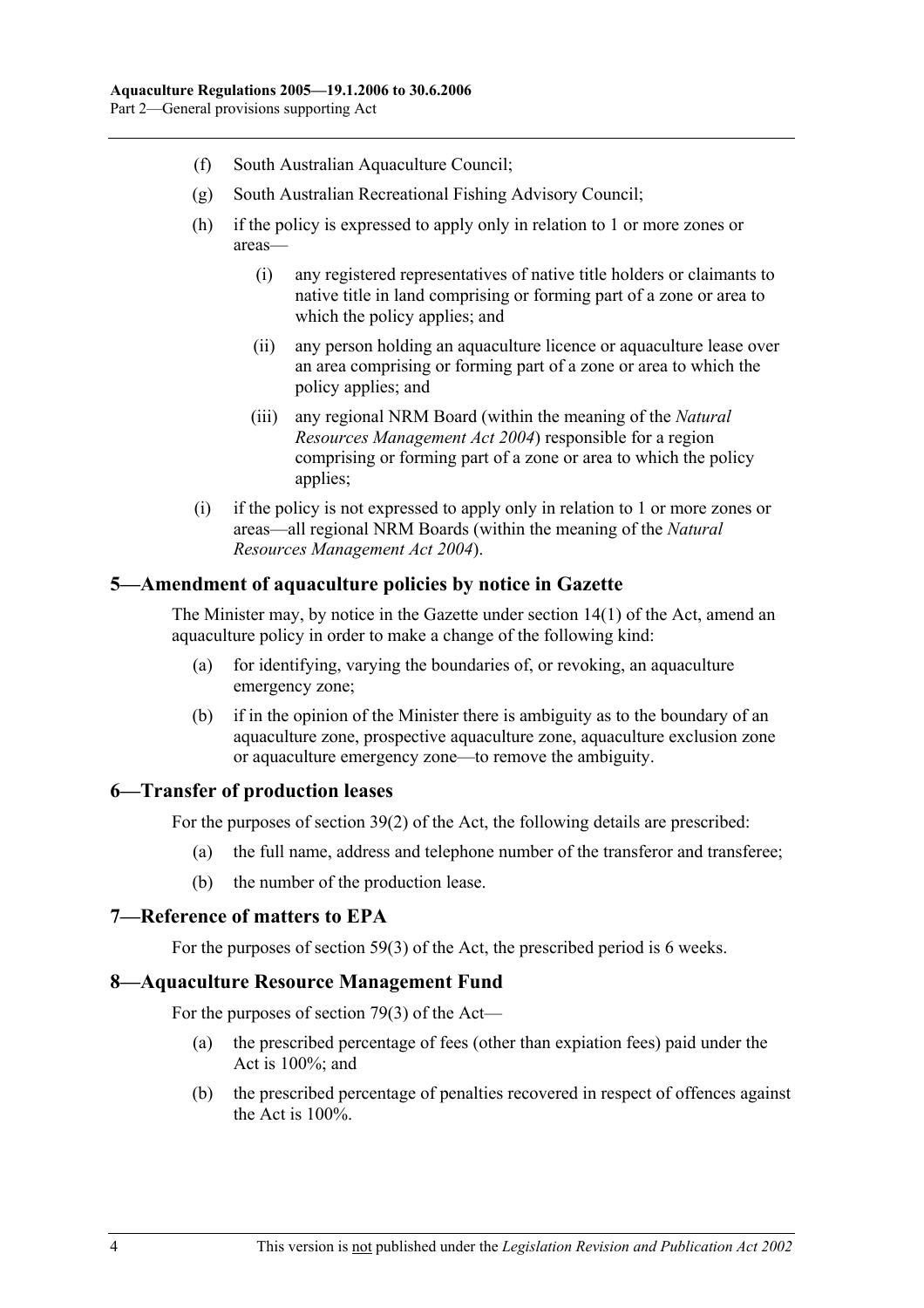- (f) South Australian Aquaculture Council;
- (g) South Australian Recreational Fishing Advisory Council;
- (h) if the policy is expressed to apply only in relation to 1 or more zones or areas—
	- (i) any registered representatives of native title holders or claimants to native title in land comprising or forming part of a zone or area to which the policy applies; and
	- (ii) any person holding an aquaculture licence or aquaculture lease over an area comprising or forming part of a zone or area to which the policy applies; and
	- (iii) any regional NRM Board (within the meaning of the *Natural Resources Management Act 2004*) responsible for a region comprising or forming part of a zone or area to which the policy applies;
- (i) if the policy is not expressed to apply only in relation to 1 or more zones or areas—all regional NRM Boards (within the meaning of the *Natural Resources Management Act 2004*).

#### **5—Amendment of aquaculture policies by notice in Gazette**

The Minister may, by notice in the Gazette under section 14(1) of the Act, amend an aquaculture policy in order to make a change of the following kind:

- (a) for identifying, varying the boundaries of, or revoking, an aquaculture emergency zone;
- (b) if in the opinion of the Minister there is ambiguity as to the boundary of an aquaculture zone, prospective aquaculture zone, aquaculture exclusion zone or aquaculture emergency zone—to remove the ambiguity.

#### **6—Transfer of production leases**

For the purposes of section 39(2) of the Act, the following details are prescribed:

- (a) the full name, address and telephone number of the transferor and transferee;
- (b) the number of the production lease.

#### **7—Reference of matters to EPA**

For the purposes of section 59(3) of the Act, the prescribed period is 6 weeks.

#### **8—Aquaculture Resource Management Fund**

For the purposes of section 79(3) of the Act—

- (a) the prescribed percentage of fees (other than expiation fees) paid under the Act is 100%; and
- (b) the prescribed percentage of penalties recovered in respect of offences against the Act is 100%.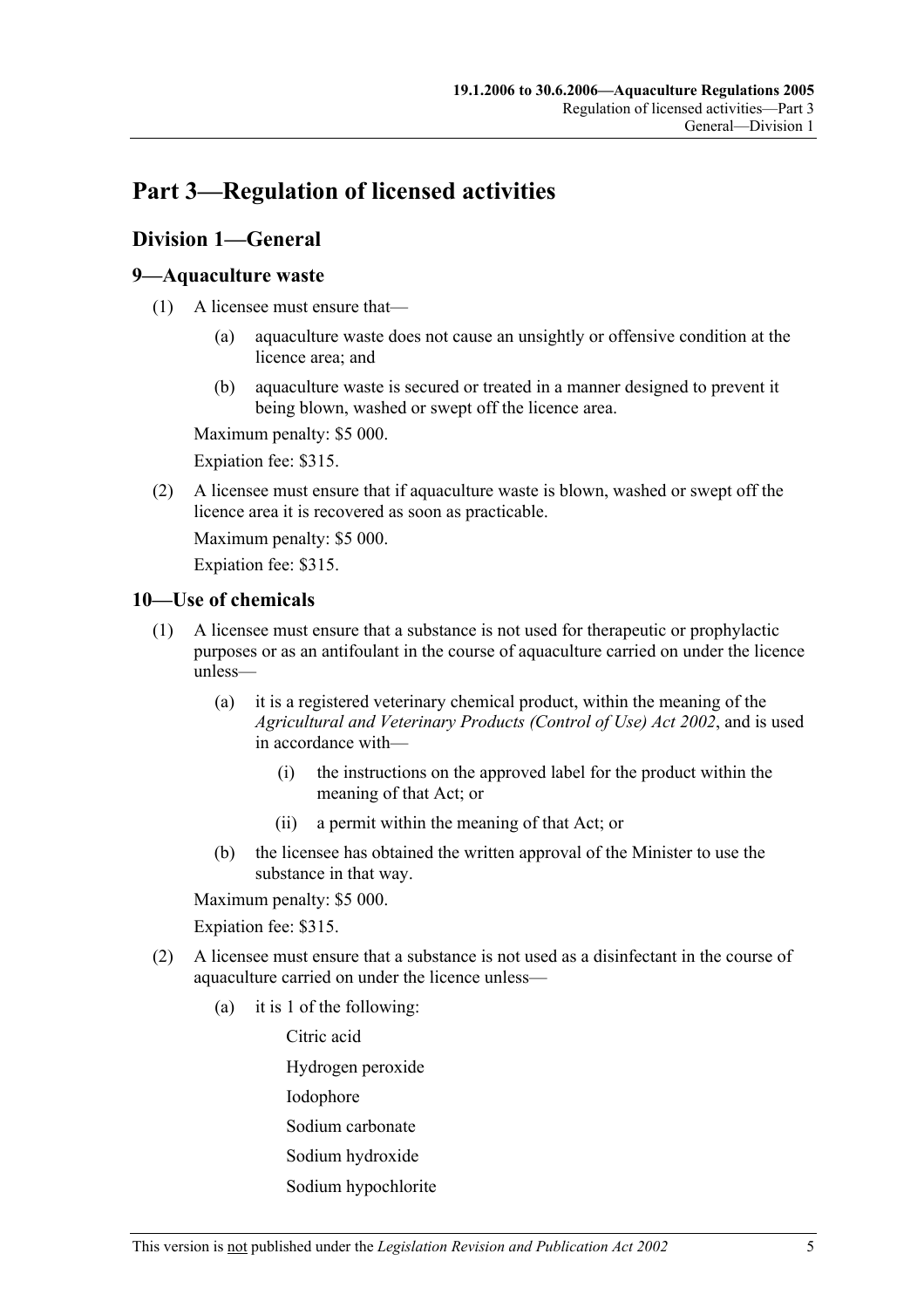# **Part 3—Regulation of licensed activities**

## **Division 1—General**

### **9—Aquaculture waste**

- (1) A licensee must ensure that—
	- (a) aquaculture waste does not cause an unsightly or offensive condition at the licence area; and
	- (b) aquaculture waste is secured or treated in a manner designed to prevent it being blown, washed or swept off the licence area.

Maximum penalty: \$5 000.

Expiation fee: \$315.

 (2) A licensee must ensure that if aquaculture waste is blown, washed or swept off the licence area it is recovered as soon as practicable.

Maximum penalty: \$5 000.

Expiation fee: \$315.

### **10—Use of chemicals**

- (1) A licensee must ensure that a substance is not used for therapeutic or prophylactic purposes or as an antifoulant in the course of aquaculture carried on under the licence unless—
	- (a) it is a registered veterinary chemical product, within the meaning of the *Agricultural and Veterinary Products (Control of Use) Act 2002*, and is used in accordance with—
		- (i) the instructions on the approved label for the product within the meaning of that Act; or
		- (ii) a permit within the meaning of that Act; or
	- (b) the licensee has obtained the written approval of the Minister to use the substance in that way.

Maximum penalty: \$5 000.

Expiation fee: \$315.

- (2) A licensee must ensure that a substance is not used as a disinfectant in the course of aquaculture carried on under the licence unless—
	- (a) it is 1 of the following:

Citric acid

Hydrogen peroxide

Iodophore

Sodium carbonate

- Sodium hydroxide
- Sodium hypochlorite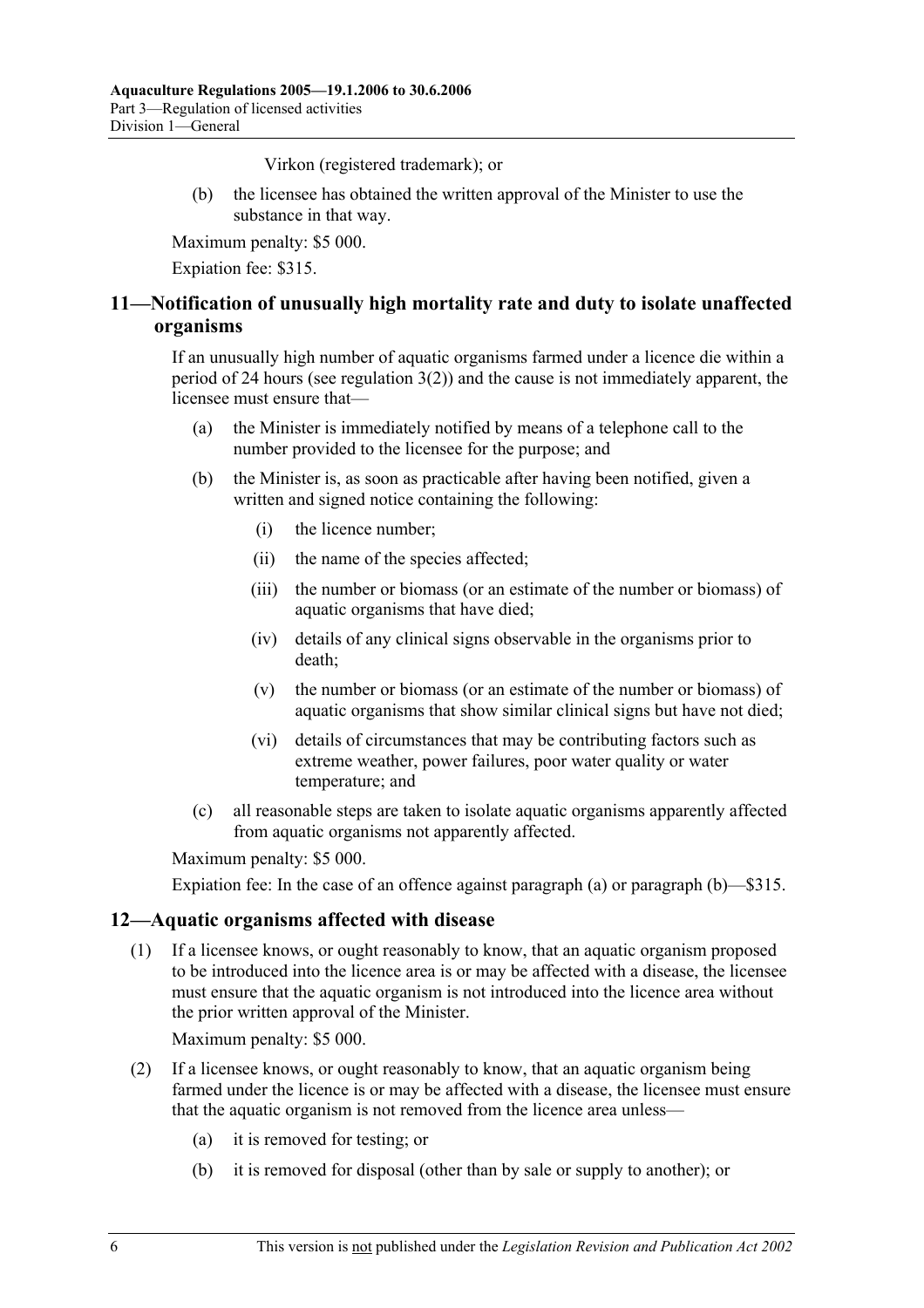Virkon (registered trademark); or

 (b) the licensee has obtained the written approval of the Minister to use the substance in that way.

Maximum penalty: \$5 000.

Expiation fee: \$315.

## **11—Notification of unusually high mortality rate and duty to isolate unaffected organisms**

If an unusually high number of aquatic organisms farmed under a licence die within a period of 24 hours (see regulation 3(2)) and the cause is not immediately apparent, the licensee must ensure that—

- (a) the Minister is immediately notified by means of a telephone call to the number provided to the licensee for the purpose; and
- (b) the Minister is, as soon as practicable after having been notified, given a written and signed notice containing the following:
	- (i) the licence number;
	- (ii) the name of the species affected;
	- (iii) the number or biomass (or an estimate of the number or biomass) of aquatic organisms that have died;
	- (iv) details of any clinical signs observable in the organisms prior to death;
	- (v) the number or biomass (or an estimate of the number or biomass) of aquatic organisms that show similar clinical signs but have not died;
	- (vi) details of circumstances that may be contributing factors such as extreme weather, power failures, poor water quality or water temperature; and
- (c) all reasonable steps are taken to isolate aquatic organisms apparently affected from aquatic organisms not apparently affected.

Maximum penalty: \$5 000.

Expiation fee: In the case of an offence against paragraph (a) or paragraph (b)—\$315.

### **12—Aquatic organisms affected with disease**

 (1) If a licensee knows, or ought reasonably to know, that an aquatic organism proposed to be introduced into the licence area is or may be affected with a disease, the licensee must ensure that the aquatic organism is not introduced into the licence area without the prior written approval of the Minister.

Maximum penalty: \$5 000.

- (2) If a licensee knows, or ought reasonably to know, that an aquatic organism being farmed under the licence is or may be affected with a disease, the licensee must ensure that the aquatic organism is not removed from the licence area unless—
	- (a) it is removed for testing; or
	- (b) it is removed for disposal (other than by sale or supply to another); or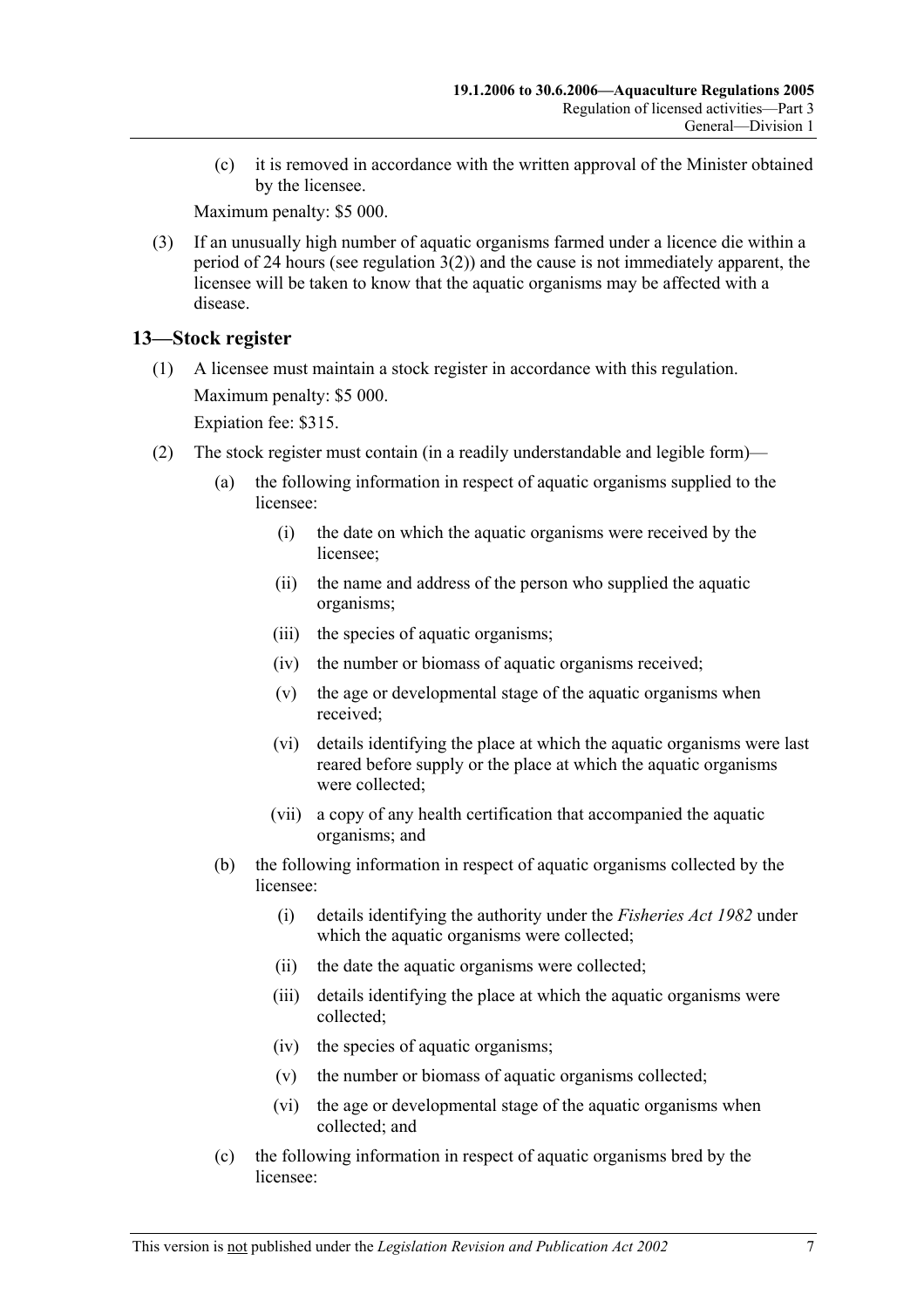(c) it is removed in accordance with the written approval of the Minister obtained by the licensee.

Maximum penalty: \$5 000.

 (3) If an unusually high number of aquatic organisms farmed under a licence die within a period of 24 hours (see regulation 3(2)) and the cause is not immediately apparent, the licensee will be taken to know that the aquatic organisms may be affected with a disease.

## **13—Stock register**

 (1) A licensee must maintain a stock register in accordance with this regulation. Maximum penalty: \$5 000.

Expiation fee: \$315.

- (2) The stock register must contain (in a readily understandable and legible form)—
	- (a) the following information in respect of aquatic organisms supplied to the licensee:
		- (i) the date on which the aquatic organisms were received by the licensee;
		- (ii) the name and address of the person who supplied the aquatic organisms;
		- (iii) the species of aquatic organisms;
		- (iv) the number or biomass of aquatic organisms received;
		- (v) the age or developmental stage of the aquatic organisms when received;
		- (vi) details identifying the place at which the aquatic organisms were last reared before supply or the place at which the aquatic organisms were collected;
		- (vii) a copy of any health certification that accompanied the aquatic organisms; and
	- (b) the following information in respect of aquatic organisms collected by the licensee:
		- (i) details identifying the authority under the *Fisheries Act 1982* under which the aquatic organisms were collected;
		- (ii) the date the aquatic organisms were collected;
		- (iii) details identifying the place at which the aquatic organisms were collected;
		- (iv) the species of aquatic organisms;
		- (v) the number or biomass of aquatic organisms collected;
		- (vi) the age or developmental stage of the aquatic organisms when collected; and
	- (c) the following information in respect of aquatic organisms bred by the licensee: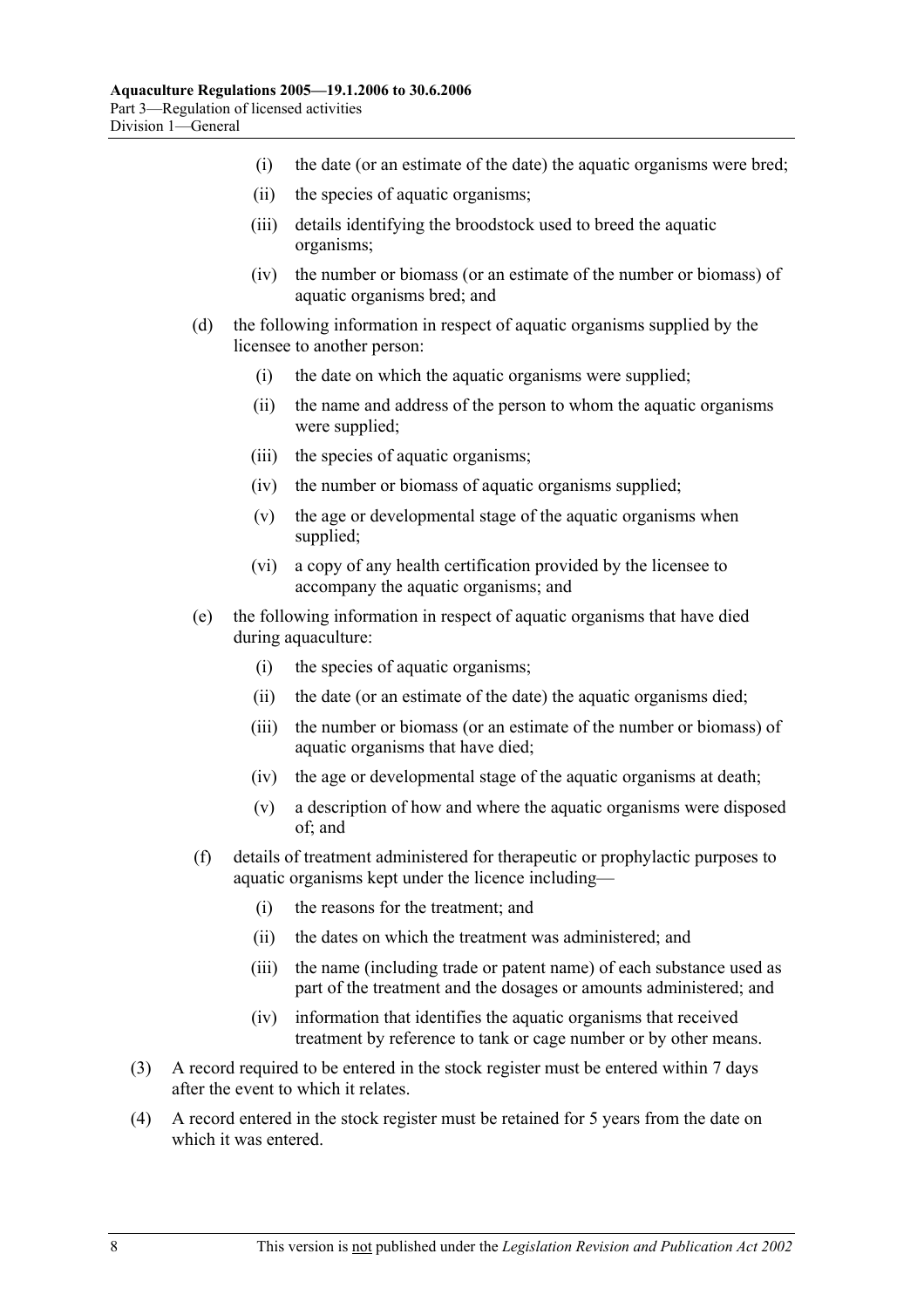- (i) the date (or an estimate of the date) the aquatic organisms were bred;
- (ii) the species of aquatic organisms;
- (iii) details identifying the broodstock used to breed the aquatic organisms;
- (iv) the number or biomass (or an estimate of the number or biomass) of aquatic organisms bred; and
- (d) the following information in respect of aquatic organisms supplied by the licensee to another person:
	- (i) the date on which the aquatic organisms were supplied;
	- (ii) the name and address of the person to whom the aquatic organisms were supplied;
	- (iii) the species of aquatic organisms;
	- (iv) the number or biomass of aquatic organisms supplied;
	- (v) the age or developmental stage of the aquatic organisms when supplied;
	- (vi) a copy of any health certification provided by the licensee to accompany the aquatic organisms; and
- (e) the following information in respect of aquatic organisms that have died during aquaculture:
	- (i) the species of aquatic organisms;
	- (ii) the date (or an estimate of the date) the aquatic organisms died;
	- (iii) the number or biomass (or an estimate of the number or biomass) of aquatic organisms that have died;
	- (iv) the age or developmental stage of the aquatic organisms at death;
	- (v) a description of how and where the aquatic organisms were disposed of; and
- (f) details of treatment administered for therapeutic or prophylactic purposes to aquatic organisms kept under the licence including—
	- (i) the reasons for the treatment; and
	- (ii) the dates on which the treatment was administered; and
	- (iii) the name (including trade or patent name) of each substance used as part of the treatment and the dosages or amounts administered; and
	- (iv) information that identifies the aquatic organisms that received treatment by reference to tank or cage number or by other means.
- (3) A record required to be entered in the stock register must be entered within 7 days after the event to which it relates.
- (4) A record entered in the stock register must be retained for 5 years from the date on which it was entered.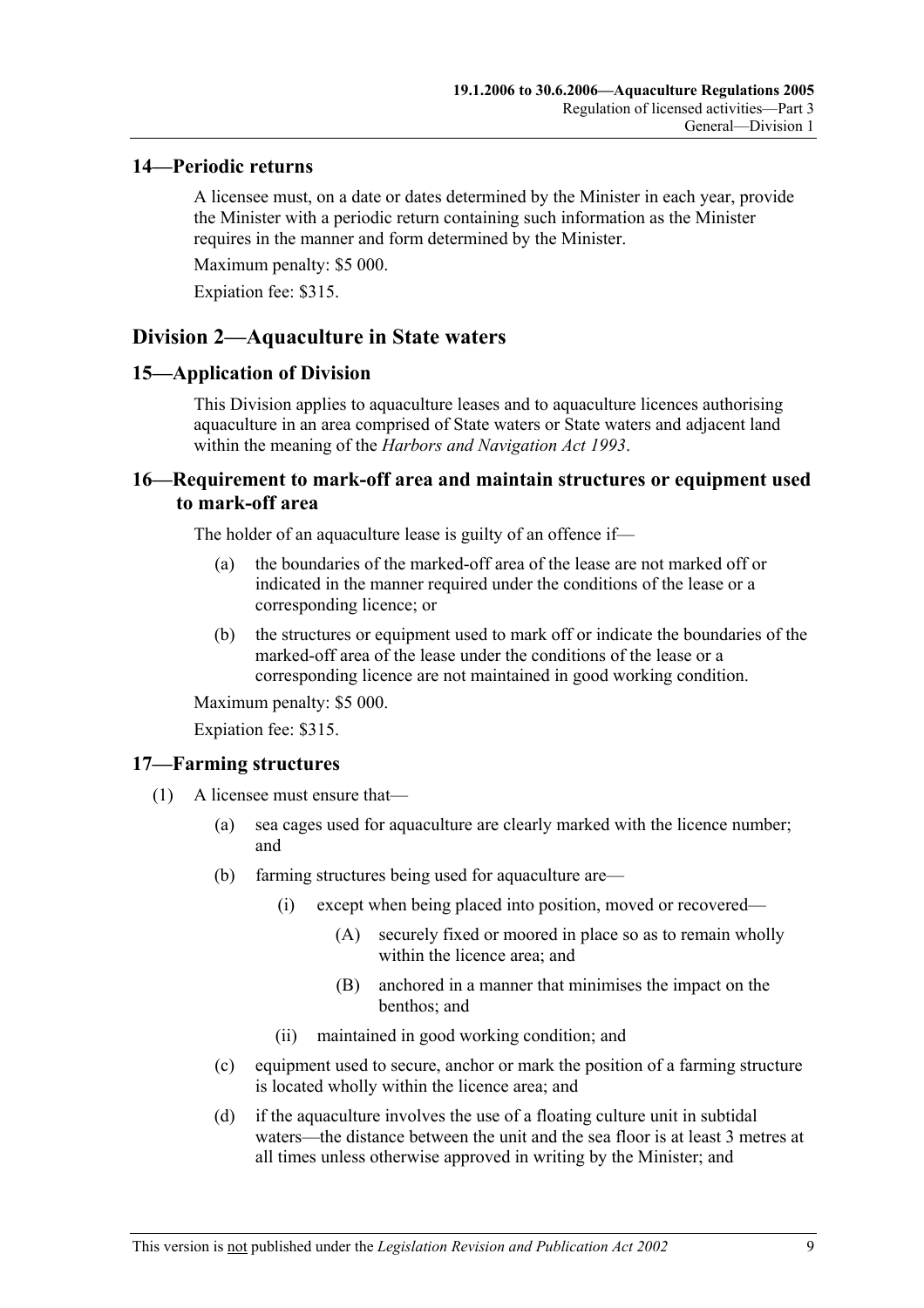#### **14—Periodic returns**

A licensee must, on a date or dates determined by the Minister in each year, provide the Minister with a periodic return containing such information as the Minister requires in the manner and form determined by the Minister.

Maximum penalty: \$5 000.

Expiation fee: \$315.

## **Division 2—Aquaculture in State waters**

#### **15—Application of Division**

This Division applies to aquaculture leases and to aquaculture licences authorising aquaculture in an area comprised of State waters or State waters and adjacent land within the meaning of the *Harbors and Navigation Act 1993*.

### **16—Requirement to mark-off area and maintain structures or equipment used to mark-off area**

The holder of an aquaculture lease is guilty of an offence if—

- (a) the boundaries of the marked-off area of the lease are not marked off or indicated in the manner required under the conditions of the lease or a corresponding licence; or
- (b) the structures or equipment used to mark off or indicate the boundaries of the marked-off area of the lease under the conditions of the lease or a corresponding licence are not maintained in good working condition.

Maximum penalty: \$5 000.

Expiation fee: \$315.

### **17—Farming structures**

- (1) A licensee must ensure that—
	- (a) sea cages used for aquaculture are clearly marked with the licence number; and
	- (b) farming structures being used for aquaculture are—
		- (i) except when being placed into position, moved or recovered—
			- (A) securely fixed or moored in place so as to remain wholly within the licence area; and
			- (B) anchored in a manner that minimises the impact on the benthos; and
		- (ii) maintained in good working condition; and
	- (c) equipment used to secure, anchor or mark the position of a farming structure is located wholly within the licence area; and
	- (d) if the aquaculture involves the use of a floating culture unit in subtidal waters—the distance between the unit and the sea floor is at least 3 metres at all times unless otherwise approved in writing by the Minister; and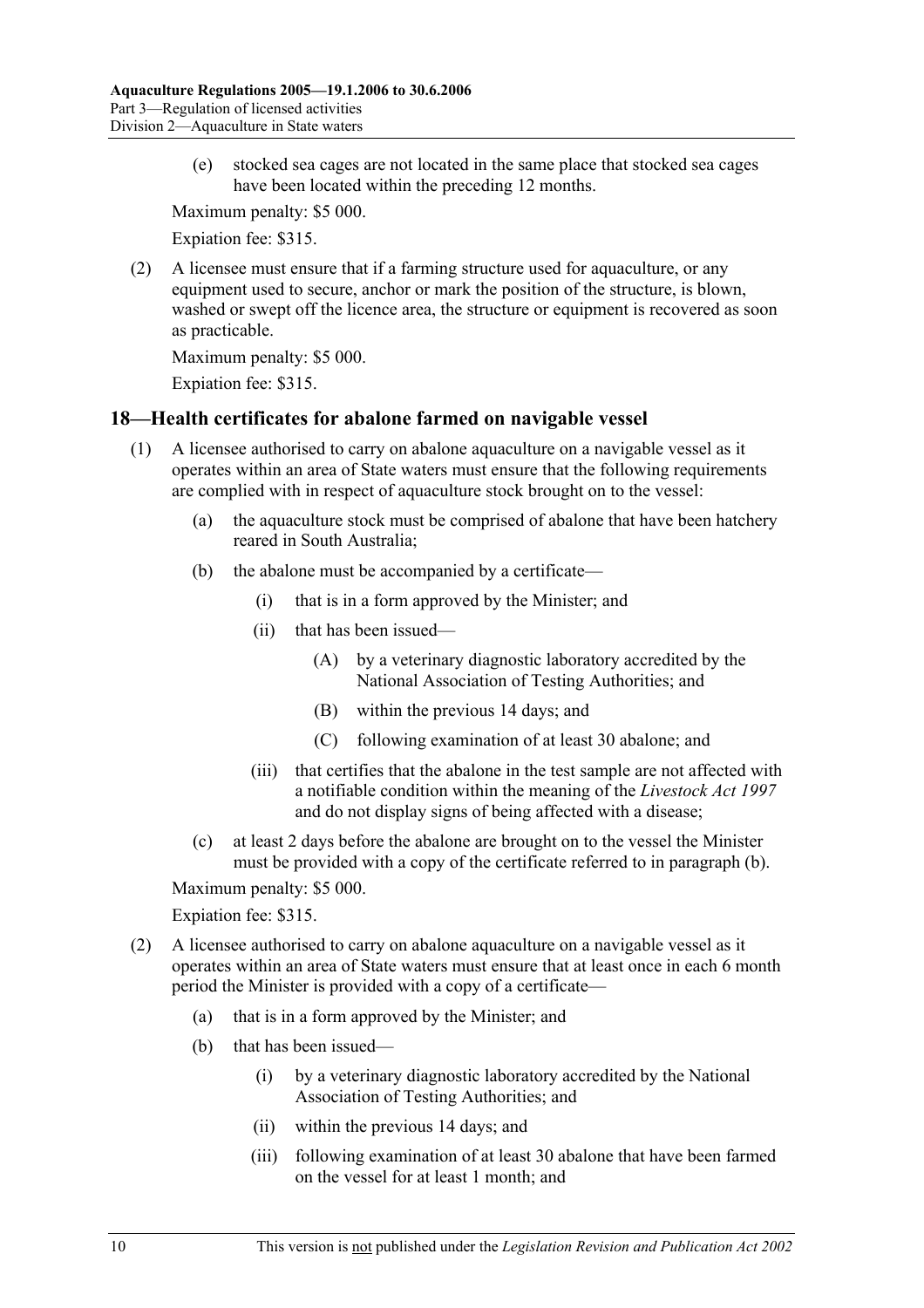(e) stocked sea cages are not located in the same place that stocked sea cages have been located within the preceding 12 months.

Maximum penalty: \$5 000.

Expiation fee: \$315.

 (2) A licensee must ensure that if a farming structure used for aquaculture, or any equipment used to secure, anchor or mark the position of the structure, is blown, washed or swept off the licence area, the structure or equipment is recovered as soon as practicable.

Maximum penalty: \$5 000.

Expiation fee: \$315.

#### **18—Health certificates for abalone farmed on navigable vessel**

- (1) A licensee authorised to carry on abalone aquaculture on a navigable vessel as it operates within an area of State waters must ensure that the following requirements are complied with in respect of aquaculture stock brought on to the vessel:
	- (a) the aquaculture stock must be comprised of abalone that have been hatchery reared in South Australia;
	- (b) the abalone must be accompanied by a certificate—
		- (i) that is in a form approved by the Minister; and
		- (ii) that has been issued—
			- (A) by a veterinary diagnostic laboratory accredited by the National Association of Testing Authorities; and
			- (B) within the previous 14 days; and
			- (C) following examination of at least 30 abalone; and
		- (iii) that certifies that the abalone in the test sample are not affected with a notifiable condition within the meaning of the *Livestock Act 1997* and do not display signs of being affected with a disease;
	- (c) at least 2 days before the abalone are brought on to the vessel the Minister must be provided with a copy of the certificate referred to in paragraph (b).

Maximum penalty: \$5 000.

#### Expiation fee: \$315.

- (2) A licensee authorised to carry on abalone aquaculture on a navigable vessel as it operates within an area of State waters must ensure that at least once in each 6 month period the Minister is provided with a copy of a certificate—
	- (a) that is in a form approved by the Minister; and
	- (b) that has been issued—
		- (i) by a veterinary diagnostic laboratory accredited by the National Association of Testing Authorities; and
		- (ii) within the previous 14 days; and
		- (iii) following examination of at least 30 abalone that have been farmed on the vessel for at least 1 month; and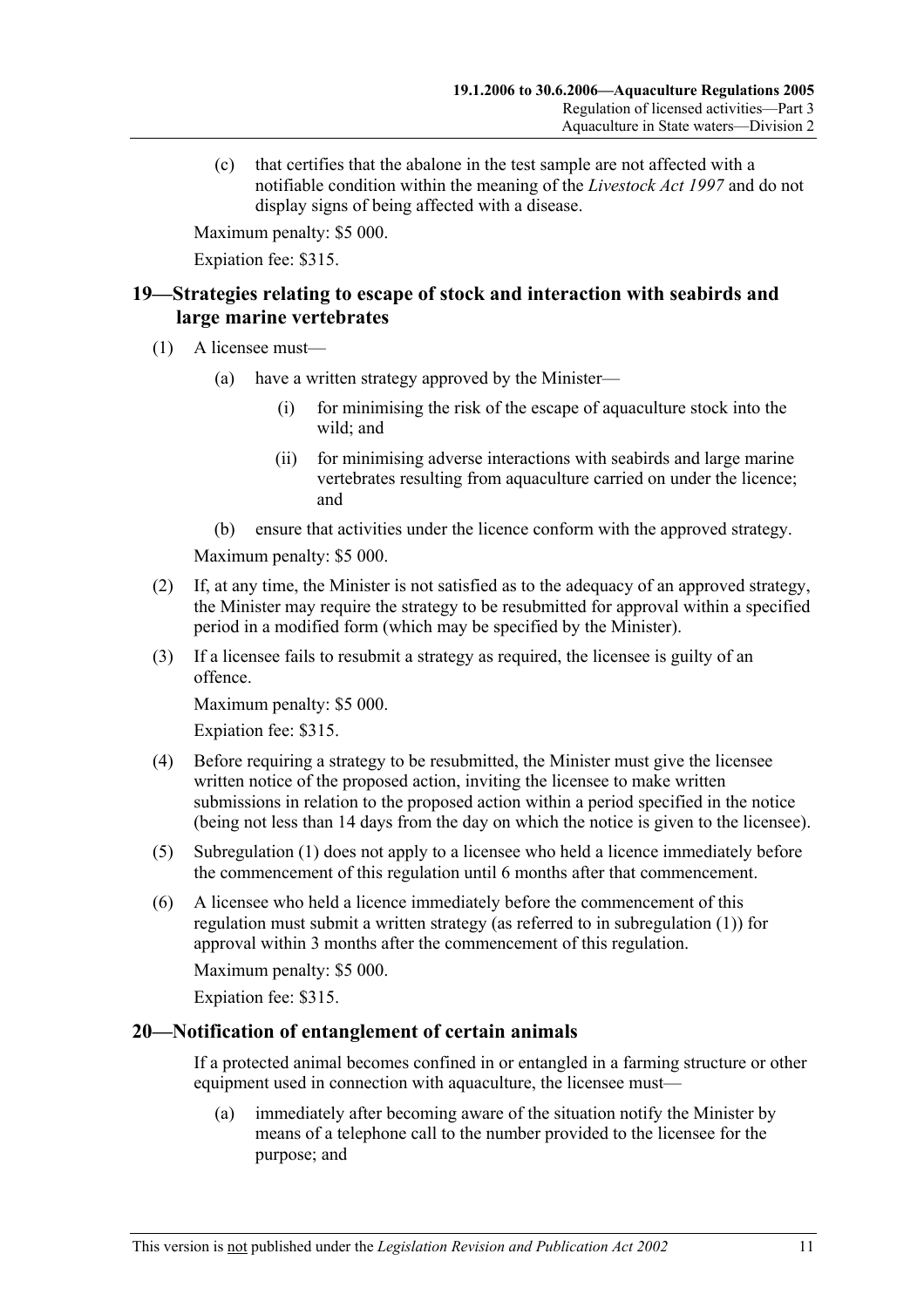(c) that certifies that the abalone in the test sample are not affected with a notifiable condition within the meaning of the *Livestock Act 1997* and do not display signs of being affected with a disease.

Maximum penalty: \$5 000.

Expiation fee: \$315.

## **19—Strategies relating to escape of stock and interaction with seabirds and large marine vertebrates**

- (1) A licensee must—
	- (a) have a written strategy approved by the Minister—
		- (i) for minimising the risk of the escape of aquaculture stock into the wild; and
		- (ii) for minimising adverse interactions with seabirds and large marine vertebrates resulting from aquaculture carried on under the licence; and
	- (b) ensure that activities under the licence conform with the approved strategy.

Maximum penalty: \$5 000.

- (2) If, at any time, the Minister is not satisfied as to the adequacy of an approved strategy, the Minister may require the strategy to be resubmitted for approval within a specified period in a modified form (which may be specified by the Minister).
- (3) If a licensee fails to resubmit a strategy as required, the licensee is guilty of an offence.

Maximum penalty: \$5 000.

Expiation fee: \$315.

- (4) Before requiring a strategy to be resubmitted, the Minister must give the licensee written notice of the proposed action, inviting the licensee to make written submissions in relation to the proposed action within a period specified in the notice (being not less than 14 days from the day on which the notice is given to the licensee).
- (5) Subregulation (1) does not apply to a licensee who held a licence immediately before the commencement of this regulation until 6 months after that commencement.
- (6) A licensee who held a licence immediately before the commencement of this regulation must submit a written strategy (as referred to in subregulation (1)) for approval within 3 months after the commencement of this regulation.

Maximum penalty: \$5 000.

Expiation fee: \$315.

### **20—Notification of entanglement of certain animals**

If a protected animal becomes confined in or entangled in a farming structure or other equipment used in connection with aquaculture, the licensee must—

 (a) immediately after becoming aware of the situation notify the Minister by means of a telephone call to the number provided to the licensee for the purpose; and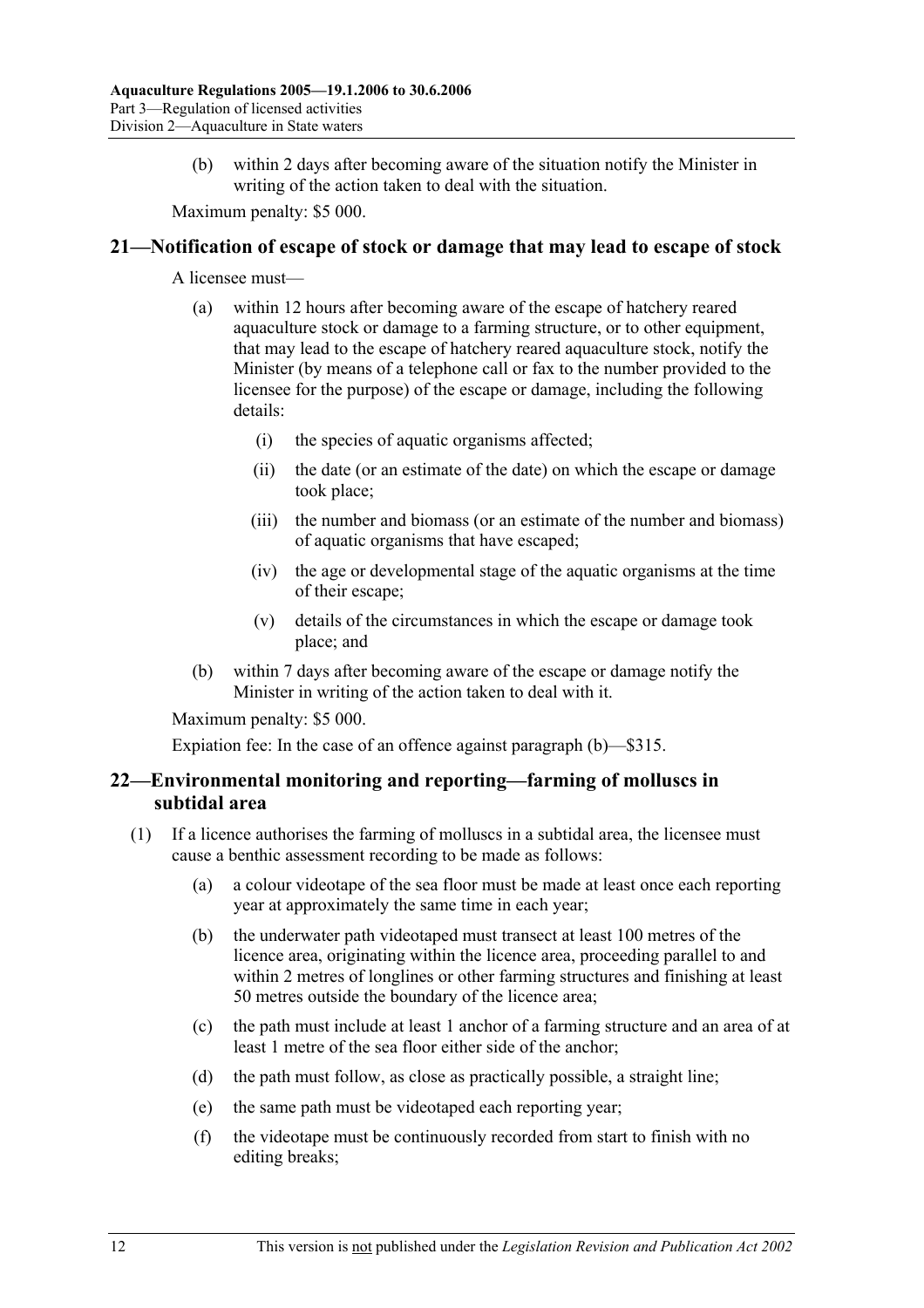(b) within 2 days after becoming aware of the situation notify the Minister in writing of the action taken to deal with the situation.

Maximum penalty: \$5 000.

#### **21—Notification of escape of stock or damage that may lead to escape of stock**

A licensee must—

- (a) within 12 hours after becoming aware of the escape of hatchery reared aquaculture stock or damage to a farming structure, or to other equipment, that may lead to the escape of hatchery reared aquaculture stock, notify the Minister (by means of a telephone call or fax to the number provided to the licensee for the purpose) of the escape or damage, including the following details:
	- (i) the species of aquatic organisms affected;
	- (ii) the date (or an estimate of the date) on which the escape or damage took place;
	- (iii) the number and biomass (or an estimate of the number and biomass) of aquatic organisms that have escaped;
	- (iv) the age or developmental stage of the aquatic organisms at the time of their escape;
	- (v) details of the circumstances in which the escape or damage took place; and
- (b) within 7 days after becoming aware of the escape or damage notify the Minister in writing of the action taken to deal with it.

Maximum penalty: \$5 000.

Expiation fee: In the case of an offence against paragraph (b)—\$315.

## **22—Environmental monitoring and reporting—farming of molluscs in subtidal area**

- (1) If a licence authorises the farming of molluscs in a subtidal area, the licensee must cause a benthic assessment recording to be made as follows:
	- (a) a colour videotape of the sea floor must be made at least once each reporting year at approximately the same time in each year;
	- (b) the underwater path videotaped must transect at least 100 metres of the licence area, originating within the licence area, proceeding parallel to and within 2 metres of longlines or other farming structures and finishing at least 50 metres outside the boundary of the licence area;
	- (c) the path must include at least 1 anchor of a farming structure and an area of at least 1 metre of the sea floor either side of the anchor;
	- (d) the path must follow, as close as practically possible, a straight line;
	- (e) the same path must be videotaped each reporting year;
	- (f) the videotape must be continuously recorded from start to finish with no editing breaks;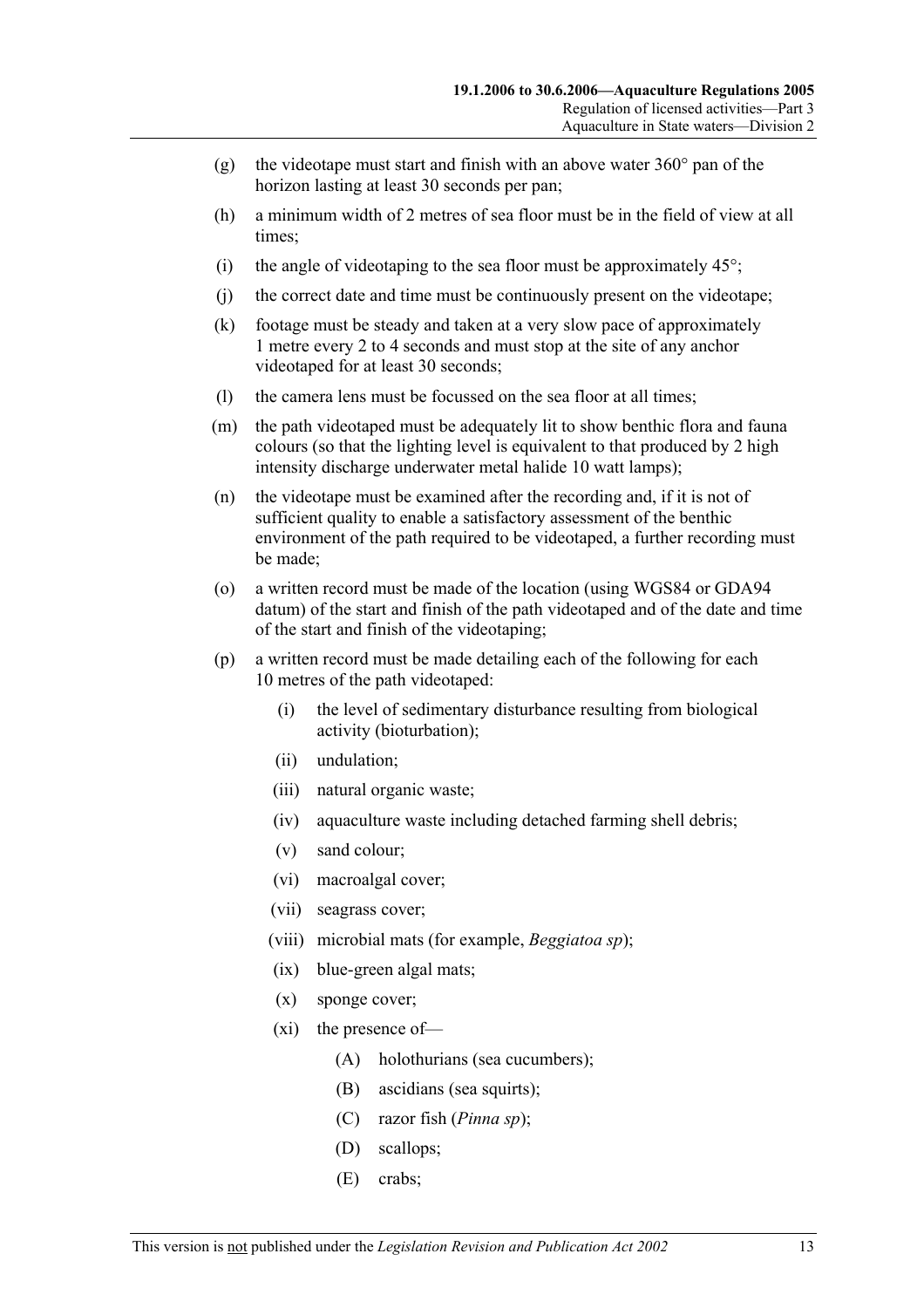- (g) the videotape must start and finish with an above water  $360^{\circ}$  pan of the horizon lasting at least 30 seconds per pan;
- (h) a minimum width of 2 metres of sea floor must be in the field of view at all times;
- (i) the angle of videotaping to the sea floor must be approximately  $45^{\circ}$ ;
- (j) the correct date and time must be continuously present on the videotape;
- (k) footage must be steady and taken at a very slow pace of approximately 1 metre every 2 to 4 seconds and must stop at the site of any anchor videotaped for at least 30 seconds;
- (l) the camera lens must be focussed on the sea floor at all times;
- (m) the path videotaped must be adequately lit to show benthic flora and fauna colours (so that the lighting level is equivalent to that produced by 2 high intensity discharge underwater metal halide 10 watt lamps);
- (n) the videotape must be examined after the recording and, if it is not of sufficient quality to enable a satisfactory assessment of the benthic environment of the path required to be videotaped, a further recording must be made;
- (o) a written record must be made of the location (using WGS84 or GDA94 datum) of the start and finish of the path videotaped and of the date and time of the start and finish of the videotaping;
- (p) a written record must be made detailing each of the following for each 10 metres of the path videotaped:
	- (i) the level of sedimentary disturbance resulting from biological activity (bioturbation);
	- (ii) undulation;
	- (iii) natural organic waste;
	- (iv) aquaculture waste including detached farming shell debris;
	- (v) sand colour;
	- (vi) macroalgal cover;
	- (vii) seagrass cover;
	- (viii) microbial mats (for example, *Beggiatoa sp*);
	- (ix) blue-green algal mats;
	- (x) sponge cover;
	- (xi) the presence of—
		- (A) holothurians (sea cucumbers);
		- (B) ascidians (sea squirts);
		- (C) razor fish (*Pinna sp*);
		- (D) scallops;
		- (E) crabs;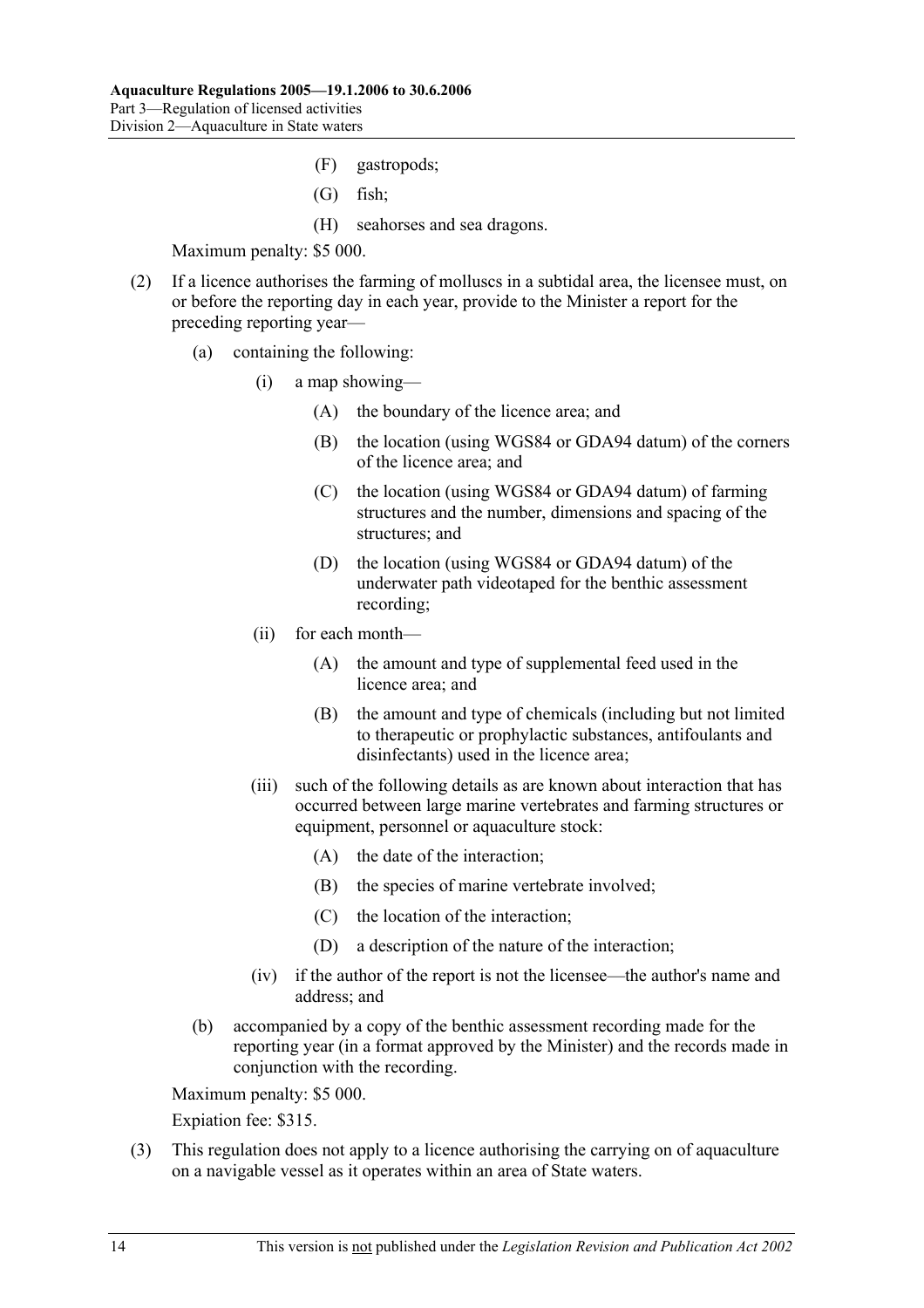- (F) gastropods;
- (G) fish;
- (H) seahorses and sea dragons.

- (2) If a licence authorises the farming of molluscs in a subtidal area, the licensee must, on or before the reporting day in each year, provide to the Minister a report for the preceding reporting year—
	- (a) containing the following:
		- (i) a map showing—
			- (A) the boundary of the licence area; and
			- (B) the location (using WGS84 or GDA94 datum) of the corners of the licence area; and
			- (C) the location (using WGS84 or GDA94 datum) of farming structures and the number, dimensions and spacing of the structures; and
			- (D) the location (using WGS84 or GDA94 datum) of the underwater path videotaped for the benthic assessment recording;
		- (ii) for each month—
			- (A) the amount and type of supplemental feed used in the licence area; and
			- (B) the amount and type of chemicals (including but not limited to therapeutic or prophylactic substances, antifoulants and disinfectants) used in the licence area;
		- (iii) such of the following details as are known about interaction that has occurred between large marine vertebrates and farming structures or equipment, personnel or aquaculture stock:
			- (A) the date of the interaction;
			- (B) the species of marine vertebrate involved;
			- (C) the location of the interaction;
			- (D) a description of the nature of the interaction;
		- (iv) if the author of the report is not the licensee—the author's name and address; and
	- (b) accompanied by a copy of the benthic assessment recording made for the reporting year (in a format approved by the Minister) and the records made in conjunction with the recording.

Maximum penalty: \$5 000.

Expiation fee: \$315.

 (3) This regulation does not apply to a licence authorising the carrying on of aquaculture on a navigable vessel as it operates within an area of State waters.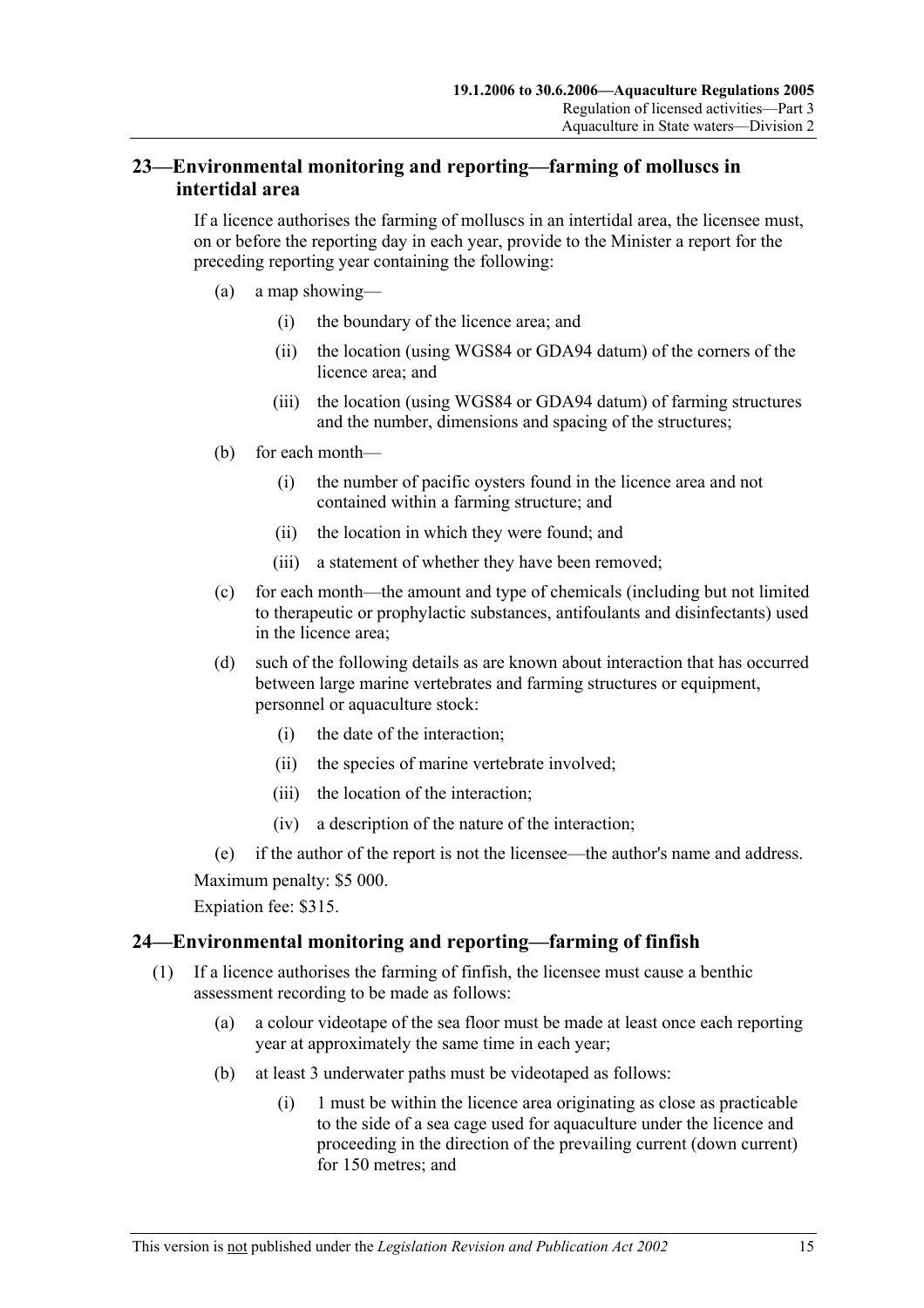## **23—Environmental monitoring and reporting—farming of molluscs in intertidal area**

If a licence authorises the farming of molluscs in an intertidal area, the licensee must, on or before the reporting day in each year, provide to the Minister a report for the preceding reporting year containing the following:

- (a) a map showing—
	- (i) the boundary of the licence area; and
	- (ii) the location (using WGS84 or GDA94 datum) of the corners of the licence area; and
	- (iii) the location (using WGS84 or GDA94 datum) of farming structures and the number, dimensions and spacing of the structures;
- (b) for each month—
	- (i) the number of pacific oysters found in the licence area and not contained within a farming structure; and
	- (ii) the location in which they were found; and
	- (iii) a statement of whether they have been removed;
- (c) for each month—the amount and type of chemicals (including but not limited to therapeutic or prophylactic substances, antifoulants and disinfectants) used in the licence area;
- (d) such of the following details as are known about interaction that has occurred between large marine vertebrates and farming structures or equipment, personnel or aquaculture stock:
	- (i) the date of the interaction;
	- (ii) the species of marine vertebrate involved;
	- (iii) the location of the interaction;
	- (iv) a description of the nature of the interaction;

(e) if the author of the report is not the licensee—the author's name and address.

Maximum penalty: \$5 000.

Expiation fee: \$315.

## **24—Environmental monitoring and reporting—farming of finfish**

- (1) If a licence authorises the farming of finfish, the licensee must cause a benthic assessment recording to be made as follows:
	- (a) a colour videotape of the sea floor must be made at least once each reporting year at approximately the same time in each year;
	- (b) at least 3 underwater paths must be videotaped as follows:
		- (i) 1 must be within the licence area originating as close as practicable to the side of a sea cage used for aquaculture under the licence and proceeding in the direction of the prevailing current (down current) for 150 metres; and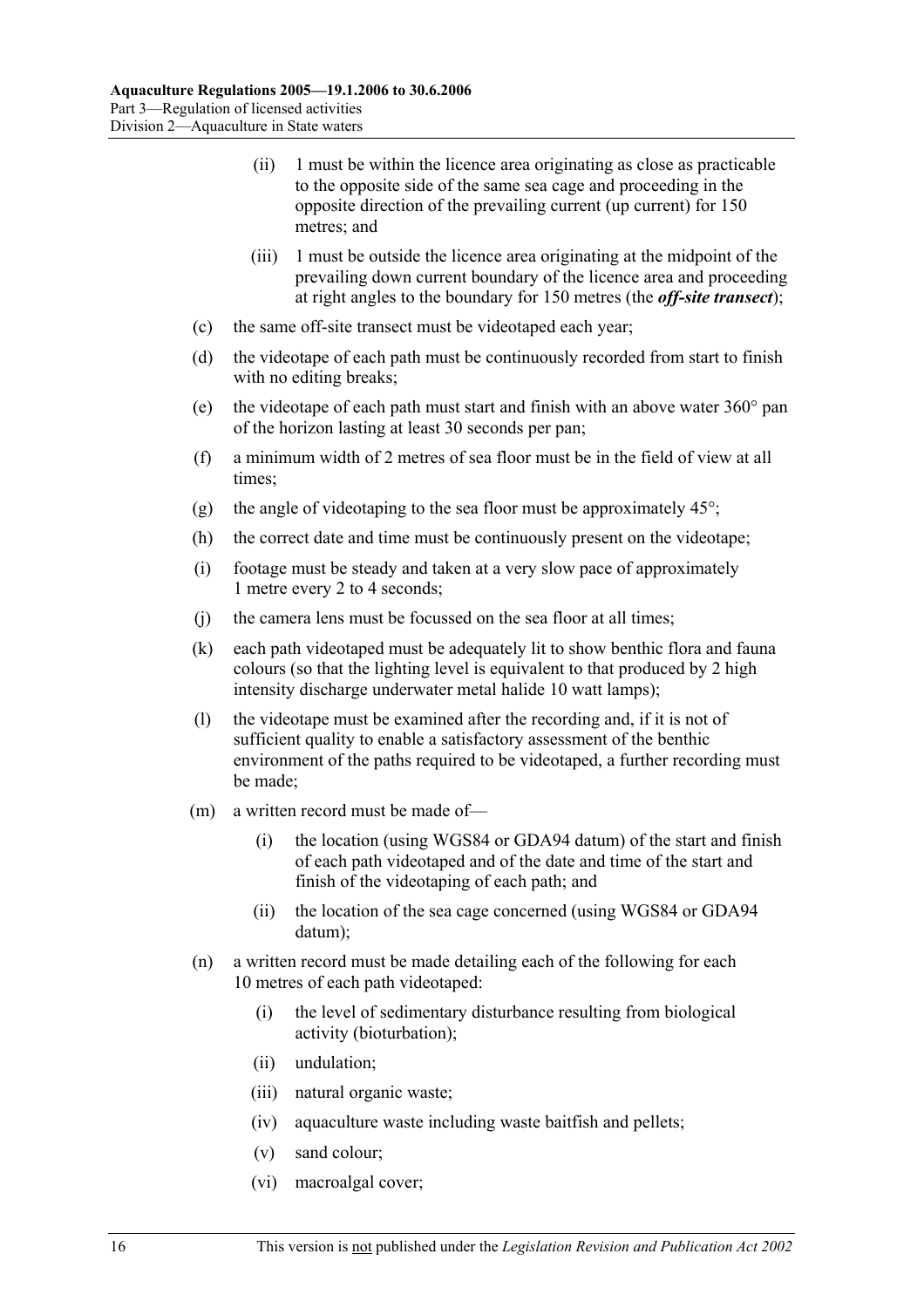- (ii) 1 must be within the licence area originating as close as practicable to the opposite side of the same sea cage and proceeding in the opposite direction of the prevailing current (up current) for 150 metres; and
- (iii) 1 must be outside the licence area originating at the midpoint of the prevailing down current boundary of the licence area and proceeding at right angles to the boundary for 150 metres (the *off-site transect*);
- (c) the same off-site transect must be videotaped each year;
- (d) the videotape of each path must be continuously recorded from start to finish with no editing breaks;
- (e) the videotape of each path must start and finish with an above water 360° pan of the horizon lasting at least 30 seconds per pan;
- (f) a minimum width of 2 metres of sea floor must be in the field of view at all times;
- (g) the angle of videotaping to the sea floor must be approximately  $45^{\circ}$ ;
- (h) the correct date and time must be continuously present on the videotape;
- (i) footage must be steady and taken at a very slow pace of approximately 1 metre every 2 to 4 seconds;
- (j) the camera lens must be focussed on the sea floor at all times;
- (k) each path videotaped must be adequately lit to show benthic flora and fauna colours (so that the lighting level is equivalent to that produced by 2 high intensity discharge underwater metal halide 10 watt lamps);
- (l) the videotape must be examined after the recording and, if it is not of sufficient quality to enable a satisfactory assessment of the benthic environment of the paths required to be videotaped, a further recording must be made;
- (m) a written record must be made of—
	- (i) the location (using WGS84 or GDA94 datum) of the start and finish of each path videotaped and of the date and time of the start and finish of the videotaping of each path; and
	- (ii) the location of the sea cage concerned (using WGS84 or GDA94 datum);
- (n) a written record must be made detailing each of the following for each 10 metres of each path videotaped:
	- (i) the level of sedimentary disturbance resulting from biological activity (bioturbation);
	- (ii) undulation;
	- (iii) natural organic waste;
	- (iv) aquaculture waste including waste baitfish and pellets;
	- (v) sand colour;
	- (vi) macroalgal cover;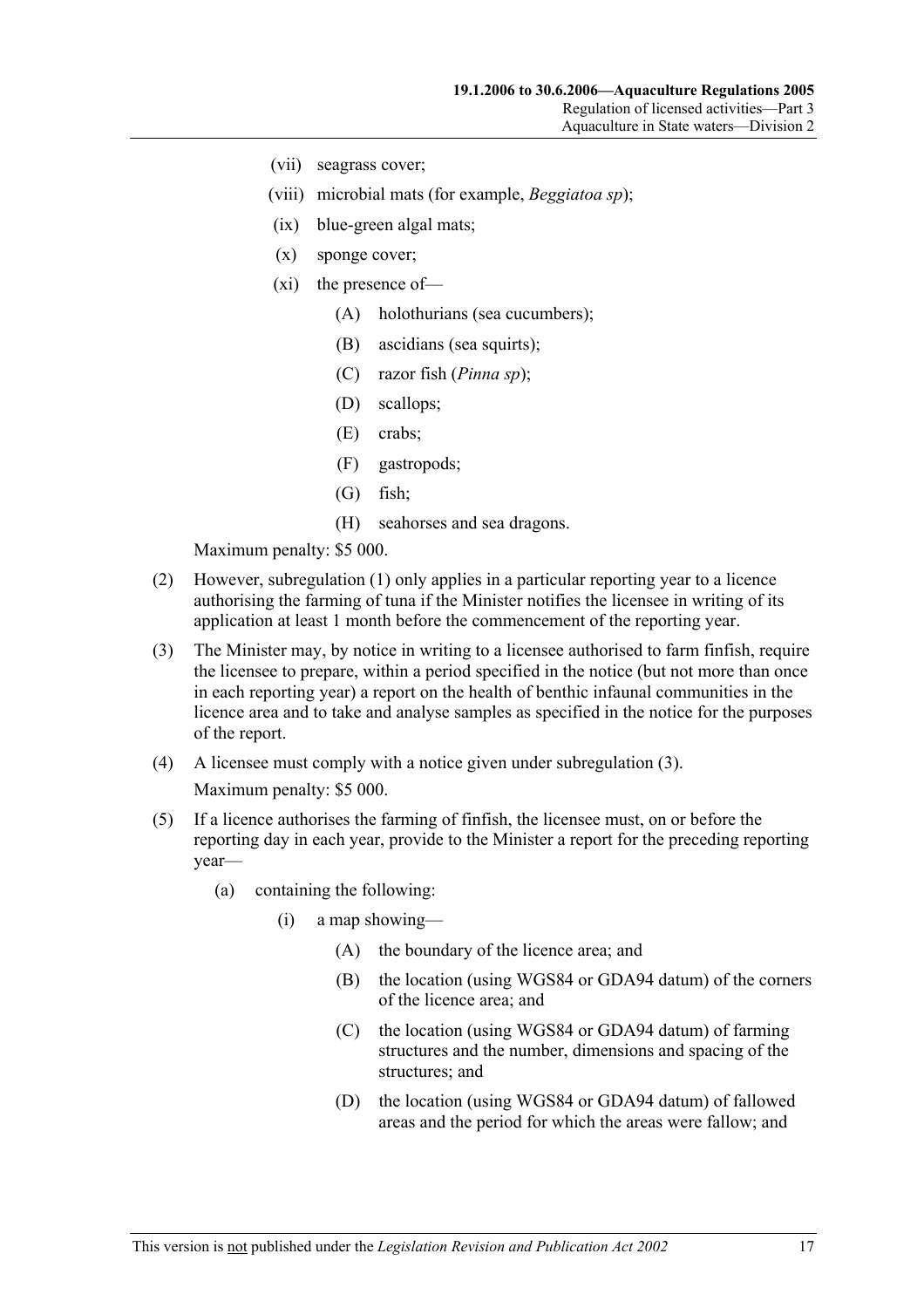- (vii) seagrass cover;
- (viii) microbial mats (for example, *Beggiatoa sp*);
- (ix) blue-green algal mats;
- (x) sponge cover;
- (xi) the presence of—
	- (A) holothurians (sea cucumbers);
	- (B) ascidians (sea squirts);
	- (C) razor fish (*Pinna sp*);
	- (D) scallops;
	- (E) crabs;
	- (F) gastropods;
	- (G) fish;
	- (H) seahorses and sea dragons.

- (2) However, subregulation (1) only applies in a particular reporting year to a licence authorising the farming of tuna if the Minister notifies the licensee in writing of its application at least 1 month before the commencement of the reporting year.
- (3) The Minister may, by notice in writing to a licensee authorised to farm finfish, require the licensee to prepare, within a period specified in the notice (but not more than once in each reporting year) a report on the health of benthic infaunal communities in the licence area and to take and analyse samples as specified in the notice for the purposes of the report.
- (4) A licensee must comply with a notice given under subregulation (3). Maximum penalty: \$5 000.
- (5) If a licence authorises the farming of finfish, the licensee must, on or before the reporting day in each year, provide to the Minister a report for the preceding reporting year—
	- (a) containing the following:
		- (i) a map showing—
			- (A) the boundary of the licence area; and
			- (B) the location (using WGS84 or GDA94 datum) of the corners of the licence area; and
			- (C) the location (using WGS84 or GDA94 datum) of farming structures and the number, dimensions and spacing of the structures; and
			- (D) the location (using WGS84 or GDA94 datum) of fallowed areas and the period for which the areas were fallow; and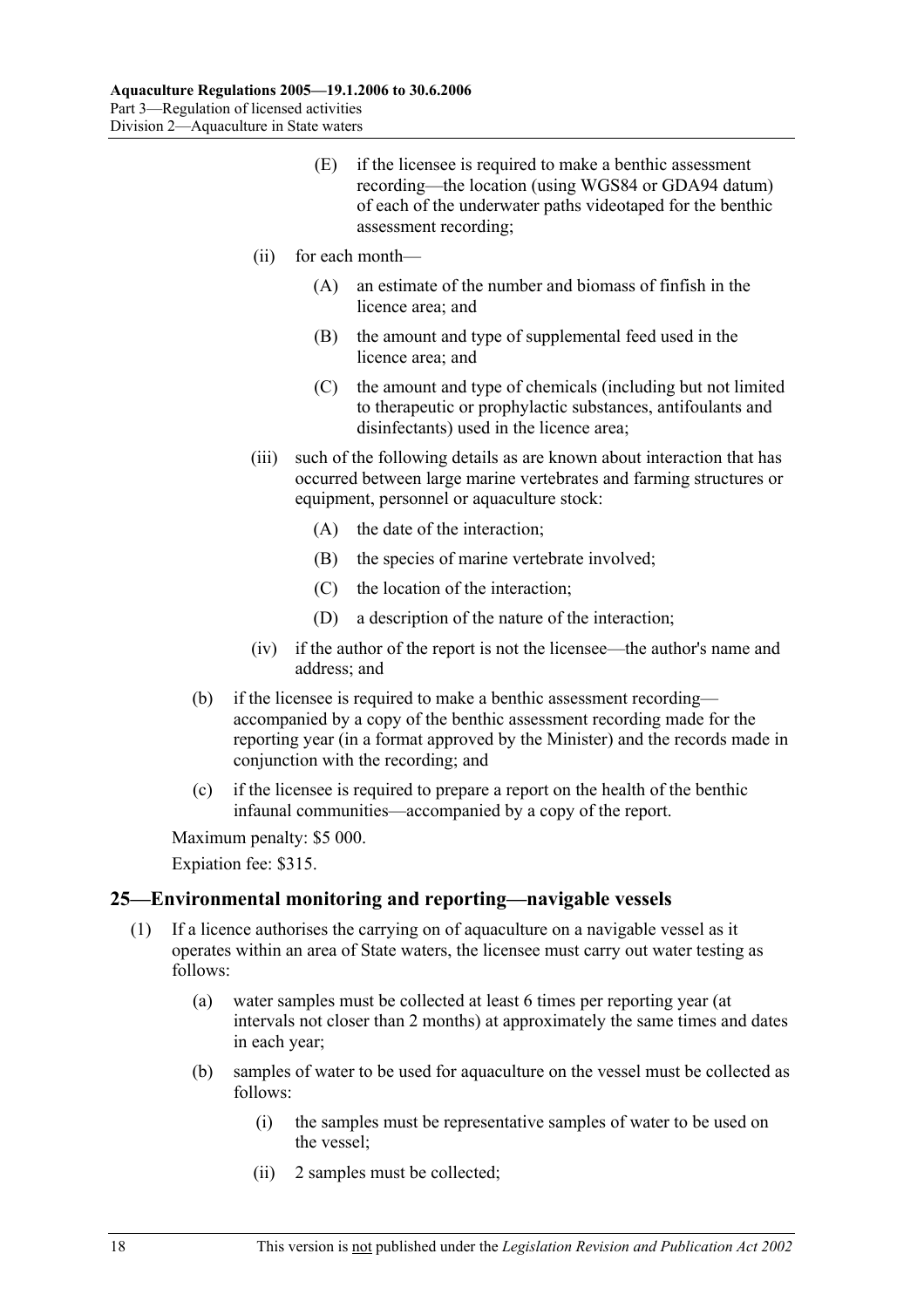- (E) if the licensee is required to make a benthic assessment recording—the location (using WGS84 or GDA94 datum) of each of the underwater paths videotaped for the benthic assessment recording;
- (ii) for each month—
	- (A) an estimate of the number and biomass of finfish in the licence area; and
	- (B) the amount and type of supplemental feed used in the licence area; and
	- (C) the amount and type of chemicals (including but not limited to therapeutic or prophylactic substances, antifoulants and disinfectants) used in the licence area;
- (iii) such of the following details as are known about interaction that has occurred between large marine vertebrates and farming structures or equipment, personnel or aquaculture stock:
	- (A) the date of the interaction;
	- (B) the species of marine vertebrate involved;
	- (C) the location of the interaction;
	- (D) a description of the nature of the interaction;
- (iv) if the author of the report is not the licensee—the author's name and address; and
- (b) if the licensee is required to make a benthic assessment recording accompanied by a copy of the benthic assessment recording made for the reporting year (in a format approved by the Minister) and the records made in conjunction with the recording; and
- (c) if the licensee is required to prepare a report on the health of the benthic infaunal communities—accompanied by a copy of the report.

Expiation fee: \$315.

#### **25—Environmental monitoring and reporting—navigable vessels**

- (1) If a licence authorises the carrying on of aquaculture on a navigable vessel as it operates within an area of State waters, the licensee must carry out water testing as follows:
	- (a) water samples must be collected at least 6 times per reporting year (at intervals not closer than 2 months) at approximately the same times and dates in each year;
	- (b) samples of water to be used for aquaculture on the vessel must be collected as follows:
		- (i) the samples must be representative samples of water to be used on the vessel;
		- (ii) 2 samples must be collected;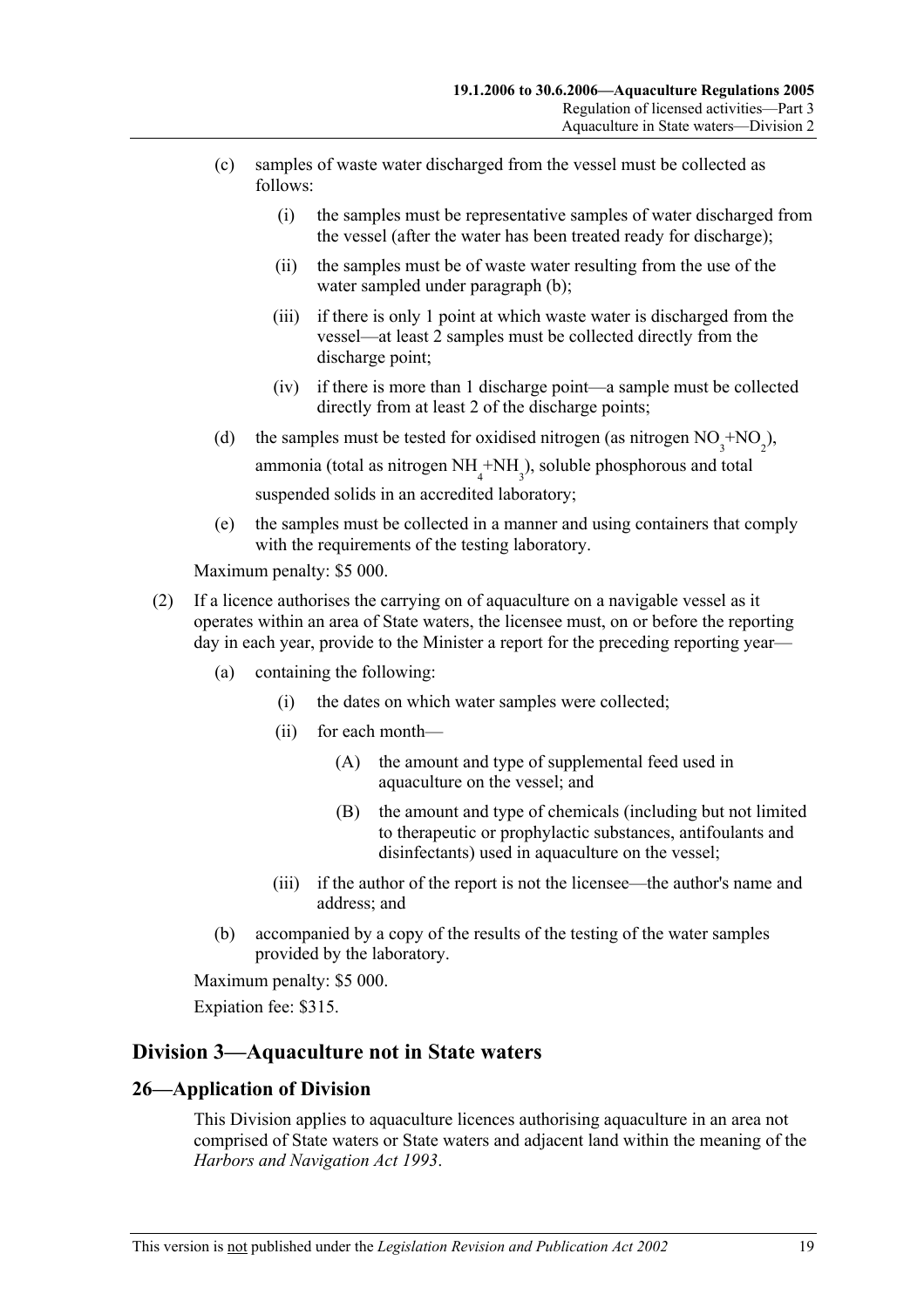- (c) samples of waste water discharged from the vessel must be collected as follows:
	- (i) the samples must be representative samples of water discharged from the vessel (after the water has been treated ready for discharge);
	- (ii) the samples must be of waste water resulting from the use of the water sampled under paragraph (b);
	- (iii) if there is only 1 point at which waste water is discharged from the vessel—at least 2 samples must be collected directly from the discharge point;
	- (iv) if there is more than 1 discharge point—a sample must be collected directly from at least 2 of the discharge points;
- (d) the samples must be tested for oxidised nitrogen (as nitrogen  $NO_3^{\text{+}NO_2}$ ), ammonia (total as nitrogen  $NH<sub>4</sub> + NH<sub>3</sub>$ ), soluble phosphorous and total suspended solids in an accredited laboratory;
	- (e) the samples must be collected in a manner and using containers that comply with the requirements of the testing laboratory.

- (2) If a licence authorises the carrying on of aquaculture on a navigable vessel as it operates within an area of State waters, the licensee must, on or before the reporting day in each year, provide to the Minister a report for the preceding reporting year—
	- (a) containing the following:
		- (i) the dates on which water samples were collected;
		- (ii) for each month—
			- (A) the amount and type of supplemental feed used in aquaculture on the vessel; and
			- (B) the amount and type of chemicals (including but not limited to therapeutic or prophylactic substances, antifoulants and disinfectants) used in aquaculture on the vessel;
		- (iii) if the author of the report is not the licensee—the author's name and address; and
	- (b) accompanied by a copy of the results of the testing of the water samples provided by the laboratory.

Maximum penalty: \$5 000.

Expiation fee: \$315.

## **Division 3—Aquaculture not in State waters**

### **26—Application of Division**

This Division applies to aquaculture licences authorising aquaculture in an area not comprised of State waters or State waters and adjacent land within the meaning of the *Harbors and Navigation Act 1993*.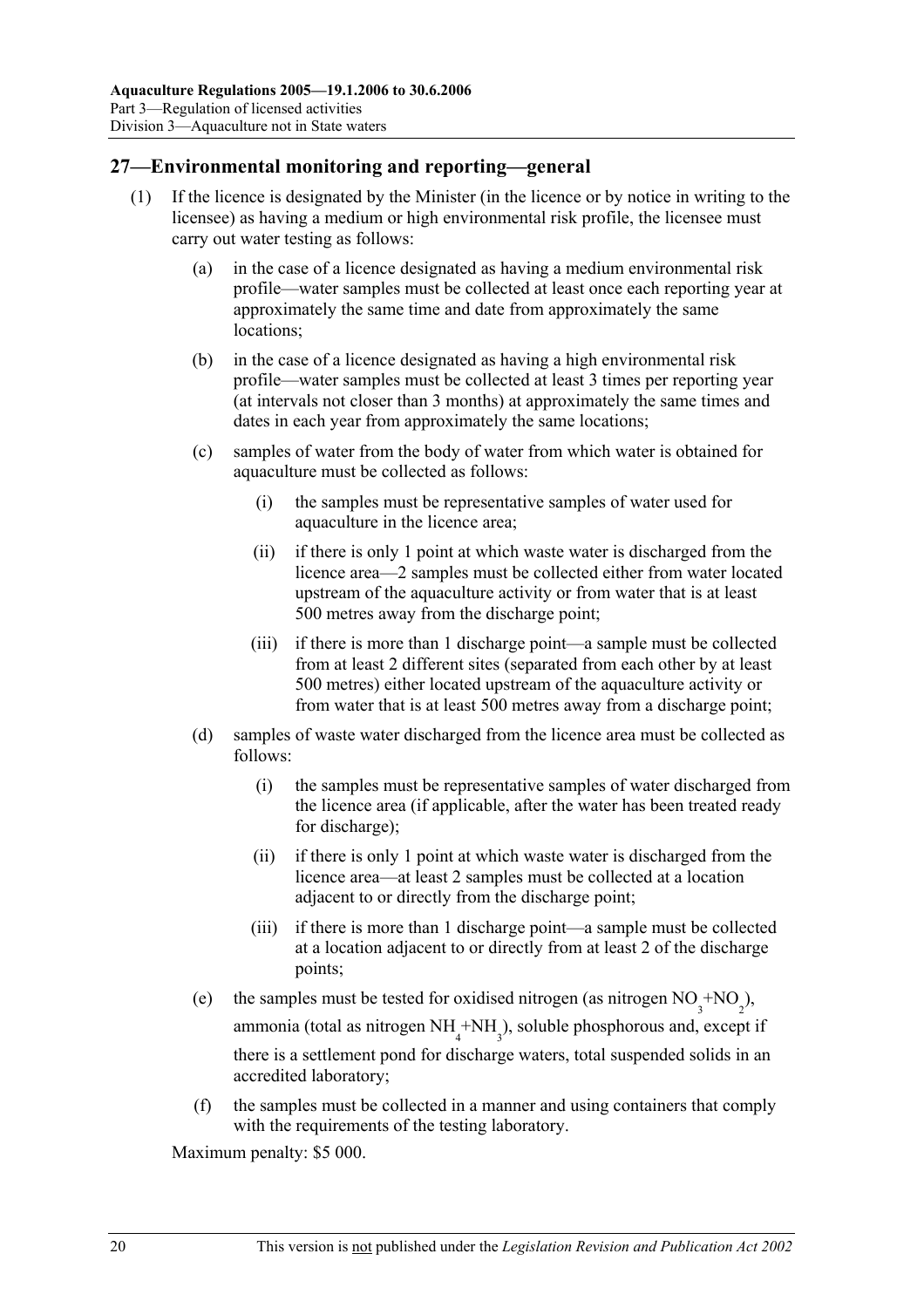## **27—Environmental monitoring and reporting—general**

- (1) If the licence is designated by the Minister (in the licence or by notice in writing to the licensee) as having a medium or high environmental risk profile, the licensee must carry out water testing as follows:
	- (a) in the case of a licence designated as having a medium environmental risk profile—water samples must be collected at least once each reporting year at approximately the same time and date from approximately the same locations;
	- (b) in the case of a licence designated as having a high environmental risk profile—water samples must be collected at least 3 times per reporting year (at intervals not closer than 3 months) at approximately the same times and dates in each year from approximately the same locations;
	- (c) samples of water from the body of water from which water is obtained for aquaculture must be collected as follows:
		- (i) the samples must be representative samples of water used for aquaculture in the licence area;
		- (ii) if there is only 1 point at which waste water is discharged from the licence area—2 samples must be collected either from water located upstream of the aquaculture activity or from water that is at least 500 metres away from the discharge point;
		- (iii) if there is more than 1 discharge point—a sample must be collected from at least 2 different sites (separated from each other by at least 500 metres) either located upstream of the aquaculture activity or from water that is at least 500 metres away from a discharge point;
	- (d) samples of waste water discharged from the licence area must be collected as follows:
		- (i) the samples must be representative samples of water discharged from the licence area (if applicable, after the water has been treated ready for discharge);
		- (ii) if there is only 1 point at which waste water is discharged from the licence area—at least 2 samples must be collected at a location adjacent to or directly from the discharge point;
		- (iii) if there is more than 1 discharge point—a sample must be collected at a location adjacent to or directly from at least 2 of the discharge points;
	- (e) the samples must be tested for oxidised nitrogen (as nitrogen  $NO_3^{\text{+}NO_2}$ ), ammonia (total as nitrogen  $NH_4^+NH_3^$ ), soluble phosphorous and, except if there is a settlement pond for discharge waters, total suspended solids in an accredited laboratory;
		- (f) the samples must be collected in a manner and using containers that comply with the requirements of the testing laboratory.

Maximum penalty: \$5 000.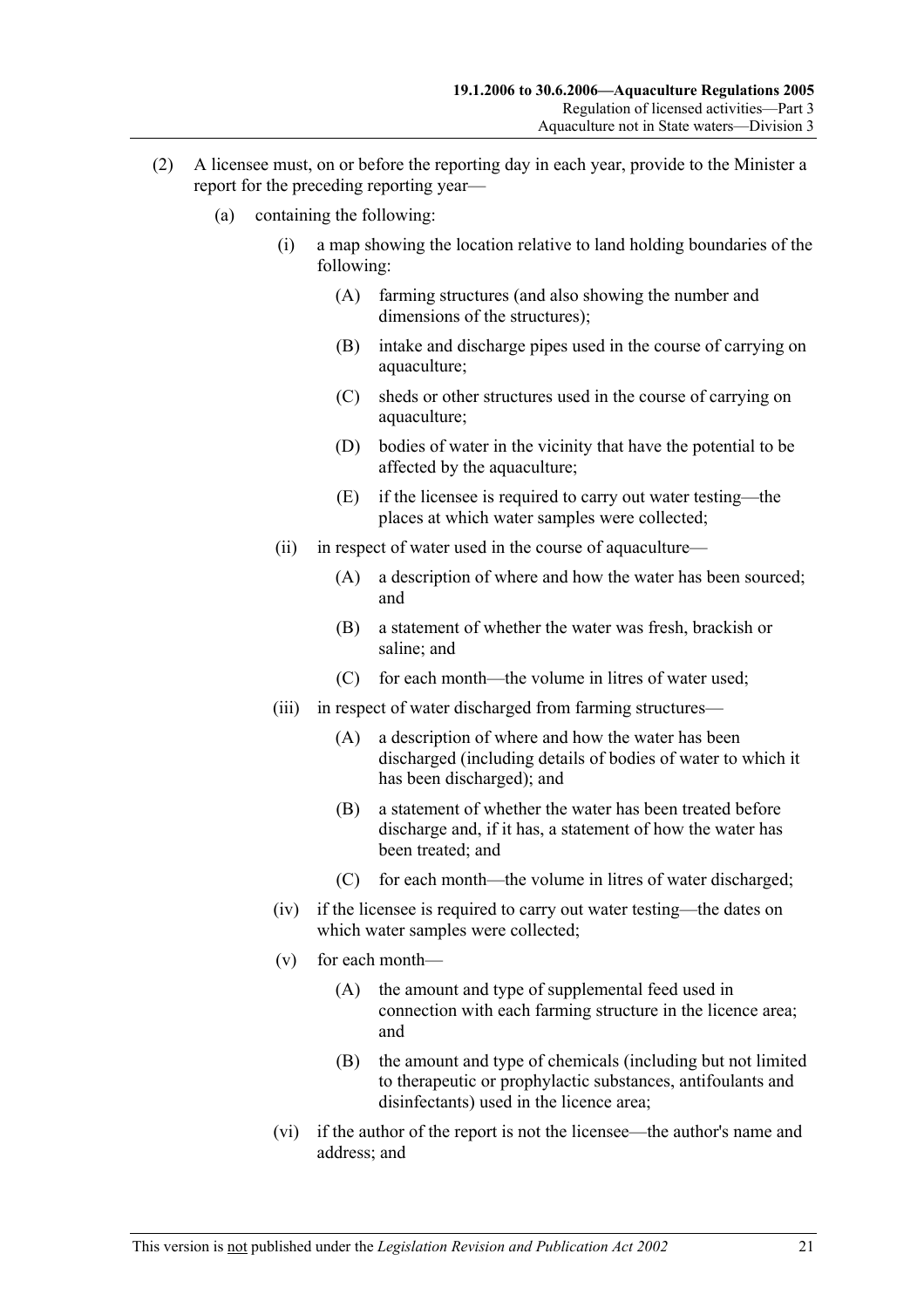- (2) A licensee must, on or before the reporting day in each year, provide to the Minister a report for the preceding reporting year—
	- (a) containing the following:
		- (i) a map showing the location relative to land holding boundaries of the following:
			- (A) farming structures (and also showing the number and dimensions of the structures);
			- (B) intake and discharge pipes used in the course of carrying on aquaculture;
			- (C) sheds or other structures used in the course of carrying on aquaculture;
			- (D) bodies of water in the vicinity that have the potential to be affected by the aquaculture;
			- (E) if the licensee is required to carry out water testing—the places at which water samples were collected;
		- (ii) in respect of water used in the course of aquaculture—
			- (A) a description of where and how the water has been sourced; and
			- (B) a statement of whether the water was fresh, brackish or saline; and
			- (C) for each month—the volume in litres of water used;
		- (iii) in respect of water discharged from farming structures—
			- (A) a description of where and how the water has been discharged (including details of bodies of water to which it has been discharged); and
			- (B) a statement of whether the water has been treated before discharge and, if it has, a statement of how the water has been treated; and
			- (C) for each month—the volume in litres of water discharged;
		- (iv) if the licensee is required to carry out water testing—the dates on which water samples were collected;
		- (v) for each month—
			- (A) the amount and type of supplemental feed used in connection with each farming structure in the licence area; and
			- (B) the amount and type of chemicals (including but not limited to therapeutic or prophylactic substances, antifoulants and disinfectants) used in the licence area;
		- (vi) if the author of the report is not the licensee—the author's name and address; and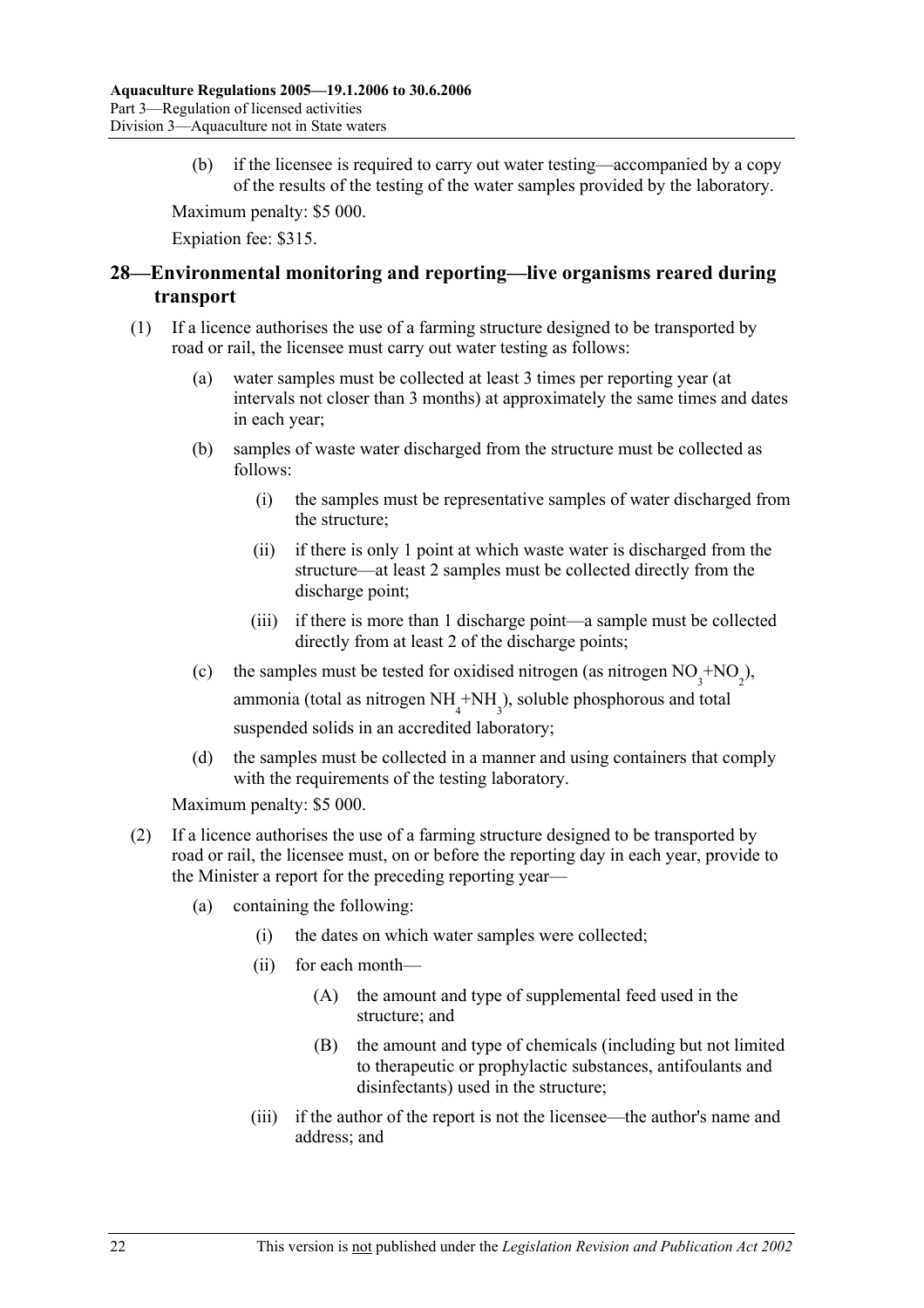(b) if the licensee is required to carry out water testing—accompanied by a copy of the results of the testing of the water samples provided by the laboratory.

Maximum penalty: \$5 000.

Expiation fee: \$315.

## **28—Environmental monitoring and reporting—live organisms reared during transport**

- (1) If a licence authorises the use of a farming structure designed to be transported by road or rail, the licensee must carry out water testing as follows:
	- (a) water samples must be collected at least 3 times per reporting year (at intervals not closer than 3 months) at approximately the same times and dates in each year;
	- (b) samples of waste water discharged from the structure must be collected as follows:
		- (i) the samples must be representative samples of water discharged from the structure;
		- (ii) if there is only 1 point at which waste water is discharged from the structure—at least 2 samples must be collected directly from the discharge point;
		- (iii) if there is more than 1 discharge point—a sample must be collected directly from at least 2 of the discharge points;
	- (c) the samples must be tested for oxidised nitrogen (as nitrogen  $NO_3^{\text{+}NO_2}$ ), ammonia (total as nitrogen  $NH<sub>4</sub> + NH<sub>3</sub>$ ), soluble phosphorous and total suspended solids in an accredited laboratory;
		- (d) the samples must be collected in a manner and using containers that comply with the requirements of the testing laboratory.

Maximum penalty: \$5 000.

- (2) If a licence authorises the use of a farming structure designed to be transported by road or rail, the licensee must, on or before the reporting day in each year, provide to the Minister a report for the preceding reporting year—
	- (a) containing the following:
		- (i) the dates on which water samples were collected;
		- (ii) for each month—
			- (A) the amount and type of supplemental feed used in the structure; and
			- (B) the amount and type of chemicals (including but not limited to therapeutic or prophylactic substances, antifoulants and disinfectants) used in the structure;
		- (iii) if the author of the report is not the licensee—the author's name and address; and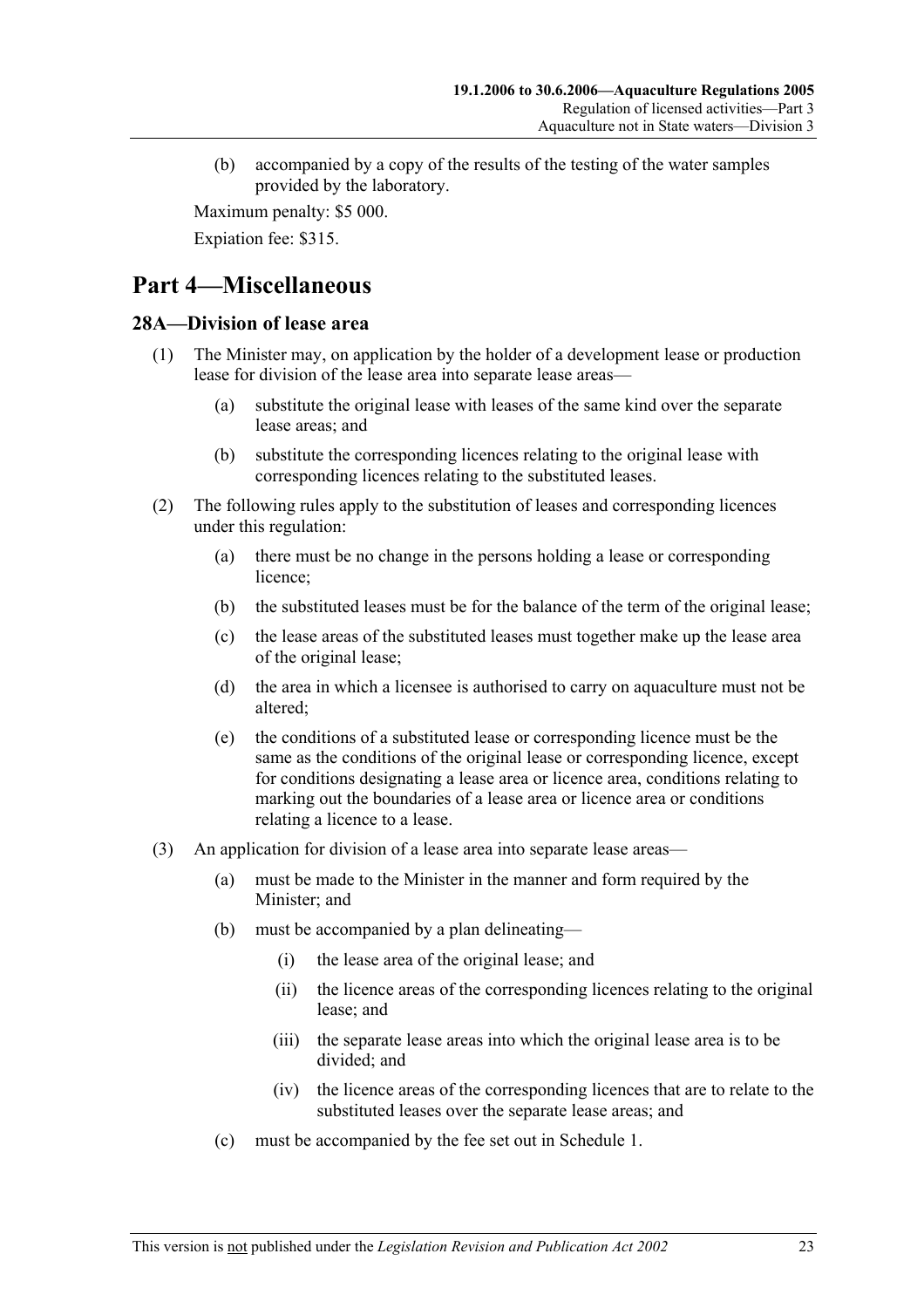(b) accompanied by a copy of the results of the testing of the water samples provided by the laboratory.

Maximum penalty: \$5 000.

Expiation fee: \$315.

# **Part 4—Miscellaneous**

#### **28A—Division of lease area**

- (1) The Minister may, on application by the holder of a development lease or production lease for division of the lease area into separate lease areas—
	- (a) substitute the original lease with leases of the same kind over the separate lease areas; and
	- (b) substitute the corresponding licences relating to the original lease with corresponding licences relating to the substituted leases.
- (2) The following rules apply to the substitution of leases and corresponding licences under this regulation:
	- (a) there must be no change in the persons holding a lease or corresponding licence;
	- (b) the substituted leases must be for the balance of the term of the original lease;
	- (c) the lease areas of the substituted leases must together make up the lease area of the original lease;
	- (d) the area in which a licensee is authorised to carry on aquaculture must not be altered;
	- (e) the conditions of a substituted lease or corresponding licence must be the same as the conditions of the original lease or corresponding licence, except for conditions designating a lease area or licence area, conditions relating to marking out the boundaries of a lease area or licence area or conditions relating a licence to a lease.
- (3) An application for division of a lease area into separate lease areas—
	- (a) must be made to the Minister in the manner and form required by the Minister; and
	- (b) must be accompanied by a plan delineating—
		- (i) the lease area of the original lease; and
		- (ii) the licence areas of the corresponding licences relating to the original lease; and
		- (iii) the separate lease areas into which the original lease area is to be divided; and
		- (iv) the licence areas of the corresponding licences that are to relate to the substituted leases over the separate lease areas; and
	- (c) must be accompanied by the fee set out in Schedule 1.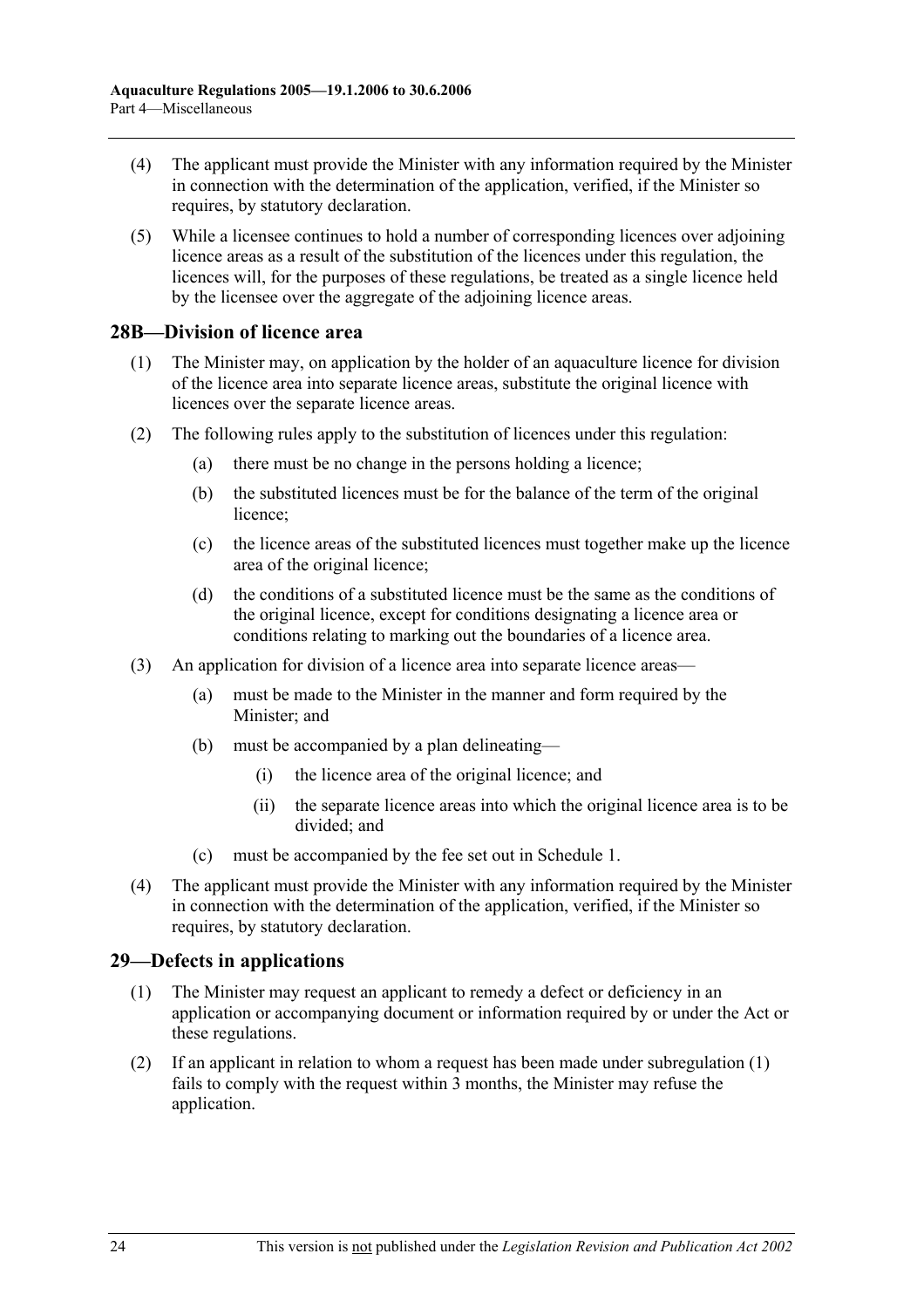- (4) The applicant must provide the Minister with any information required by the Minister in connection with the determination of the application, verified, if the Minister so requires, by statutory declaration.
- (5) While a licensee continues to hold a number of corresponding licences over adjoining licence areas as a result of the substitution of the licences under this regulation, the licences will, for the purposes of these regulations, be treated as a single licence held by the licensee over the aggregate of the adjoining licence areas.

#### **28B—Division of licence area**

- (1) The Minister may, on application by the holder of an aquaculture licence for division of the licence area into separate licence areas, substitute the original licence with licences over the separate licence areas.
- (2) The following rules apply to the substitution of licences under this regulation:
	- (a) there must be no change in the persons holding a licence;
	- (b) the substituted licences must be for the balance of the term of the original licence;
	- (c) the licence areas of the substituted licences must together make up the licence area of the original licence;
	- (d) the conditions of a substituted licence must be the same as the conditions of the original licence, except for conditions designating a licence area or conditions relating to marking out the boundaries of a licence area.
- (3) An application for division of a licence area into separate licence areas—
	- (a) must be made to the Minister in the manner and form required by the Minister; and
	- (b) must be accompanied by a plan delineating—
		- (i) the licence area of the original licence; and
		- (ii) the separate licence areas into which the original licence area is to be divided; and
	- (c) must be accompanied by the fee set out in Schedule 1.
- (4) The applicant must provide the Minister with any information required by the Minister in connection with the determination of the application, verified, if the Minister so requires, by statutory declaration.

### **29—Defects in applications**

- (1) The Minister may request an applicant to remedy a defect or deficiency in an application or accompanying document or information required by or under the Act or these regulations.
- (2) If an applicant in relation to whom a request has been made under subregulation (1) fails to comply with the request within 3 months, the Minister may refuse the application.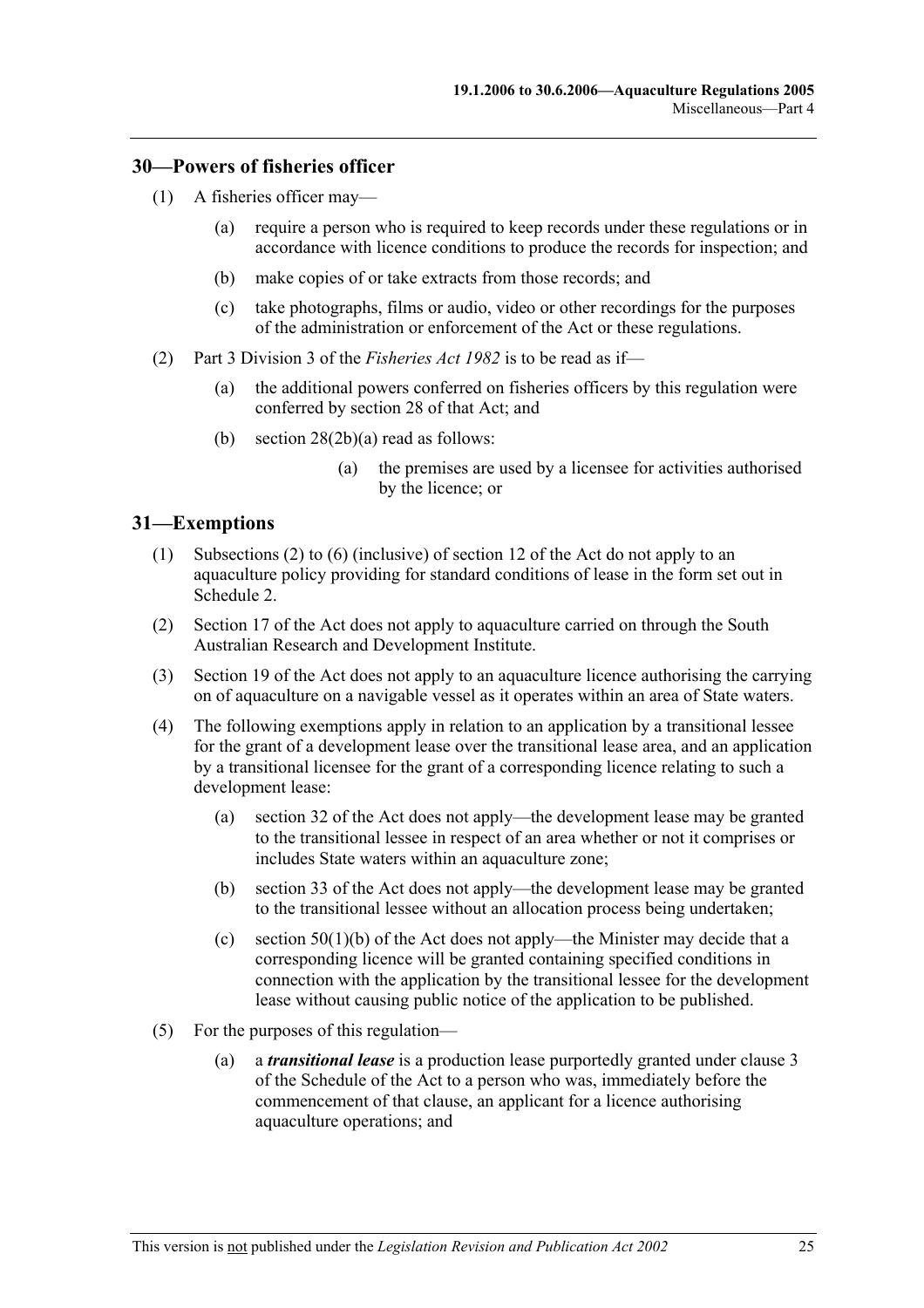#### **30—Powers of fisheries officer**

- (1) A fisheries officer may—
	- (a) require a person who is required to keep records under these regulations or in accordance with licence conditions to produce the records for inspection; and
	- (b) make copies of or take extracts from those records; and
	- (c) take photographs, films or audio, video or other recordings for the purposes of the administration or enforcement of the Act or these regulations.
- (2) Part 3 Division 3 of the *Fisheries Act 1982* is to be read as if—
	- (a) the additional powers conferred on fisheries officers by this regulation were conferred by section 28 of that Act; and
	- (b) section 28(2b)(a) read as follows:
		- (a) the premises are used by a licensee for activities authorised by the licence; or

#### **31—Exemptions**

- (1) Subsections (2) to (6) (inclusive) of section 12 of the Act do not apply to an aquaculture policy providing for standard conditions of lease in the form set out in Schedule 2.
- (2) Section 17 of the Act does not apply to aquaculture carried on through the South Australian Research and Development Institute.
- (3) Section 19 of the Act does not apply to an aquaculture licence authorising the carrying on of aquaculture on a navigable vessel as it operates within an area of State waters.
- (4) The following exemptions apply in relation to an application by a transitional lessee for the grant of a development lease over the transitional lease area, and an application by a transitional licensee for the grant of a corresponding licence relating to such a development lease:
	- (a) section 32 of the Act does not apply—the development lease may be granted to the transitional lessee in respect of an area whether or not it comprises or includes State waters within an aquaculture zone;
	- (b) section 33 of the Act does not apply—the development lease may be granted to the transitional lessee without an allocation process being undertaken;
	- (c) section  $50(1)(b)$  of the Act does not apply—the Minister may decide that a corresponding licence will be granted containing specified conditions in connection with the application by the transitional lessee for the development lease without causing public notice of the application to be published.
- (5) For the purposes of this regulation—
	- (a) a *transitional lease* is a production lease purportedly granted under clause 3 of the Schedule of the Act to a person who was, immediately before the commencement of that clause, an applicant for a licence authorising aquaculture operations; and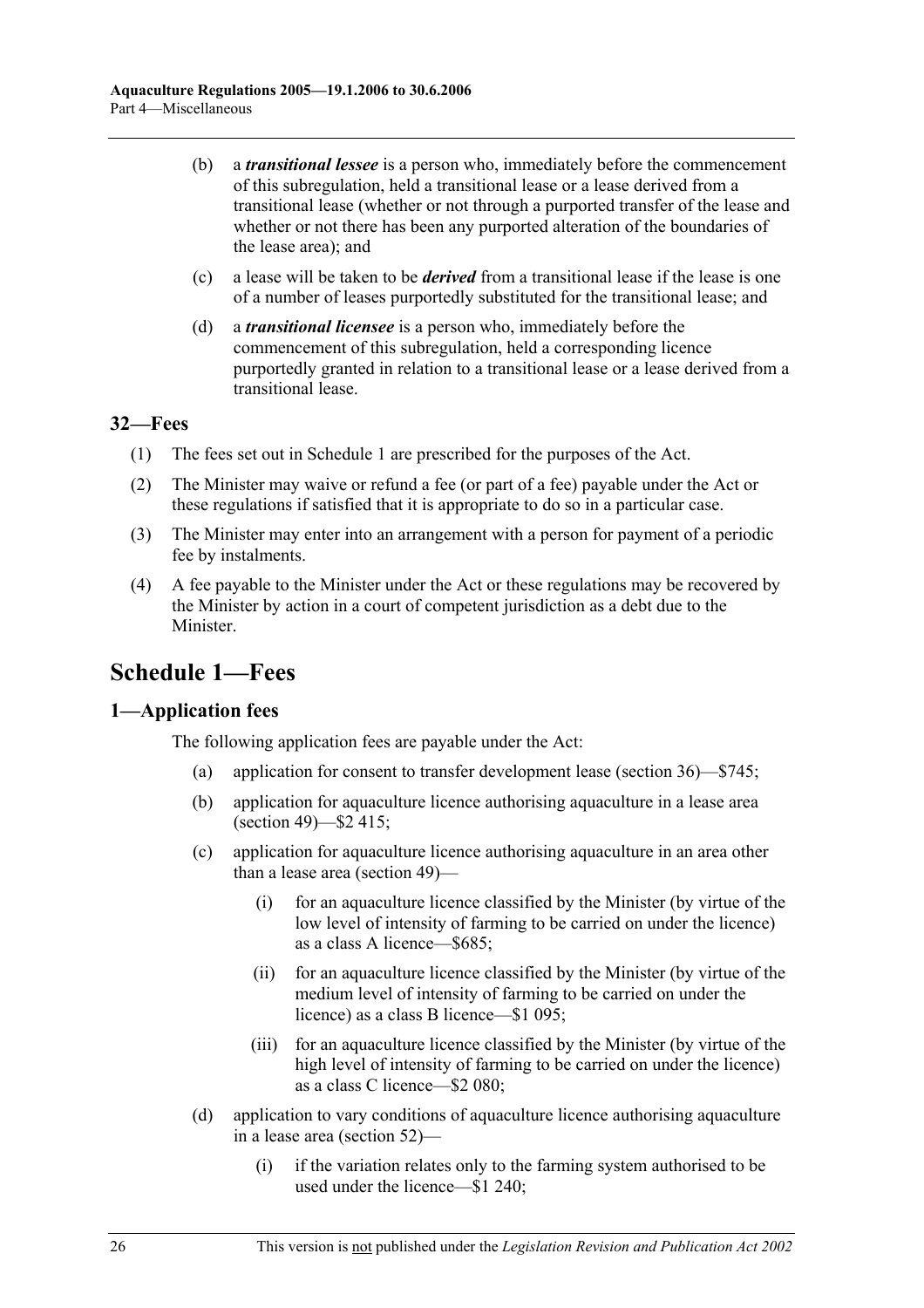- (b) a *transitional lessee* is a person who, immediately before the commencement of this subregulation, held a transitional lease or a lease derived from a transitional lease (whether or not through a purported transfer of the lease and whether or not there has been any purported alteration of the boundaries of the lease area); and
- (c) a lease will be taken to be *derived* from a transitional lease if the lease is one of a number of leases purportedly substituted for the transitional lease; and
- (d) a *transitional licensee* is a person who, immediately before the commencement of this subregulation, held a corresponding licence purportedly granted in relation to a transitional lease or a lease derived from a transitional lease.

### **32—Fees**

- (1) The fees set out in Schedule 1 are prescribed for the purposes of the Act.
- (2) The Minister may waive or refund a fee (or part of a fee) payable under the Act or these regulations if satisfied that it is appropriate to do so in a particular case.
- (3) The Minister may enter into an arrangement with a person for payment of a periodic fee by instalments.
- (4) A fee payable to the Minister under the Act or these regulations may be recovered by the Minister by action in a court of competent jurisdiction as a debt due to the Minister.

# **Schedule 1—Fees**

### **1—Application fees**

The following application fees are payable under the Act:

- (a) application for consent to transfer development lease (section 36)—\$745;
- (b) application for aquaculture licence authorising aquaculture in a lease area (section 49)—\$2 415;
- (c) application for aquaculture licence authorising aquaculture in an area other than a lease area (section 49)—
	- (i) for an aquaculture licence classified by the Minister (by virtue of the low level of intensity of farming to be carried on under the licence) as a class A licence—\$685;
	- (ii) for an aquaculture licence classified by the Minister (by virtue of the medium level of intensity of farming to be carried on under the licence) as a class B licence—\$1 095;
	- (iii) for an aquaculture licence classified by the Minister (by virtue of the high level of intensity of farming to be carried on under the licence) as a class C licence—\$2 080;
- (d) application to vary conditions of aquaculture licence authorising aquaculture in a lease area (section 52)—
	- (i) if the variation relates only to the farming system authorised to be used under the licence—\$1 240;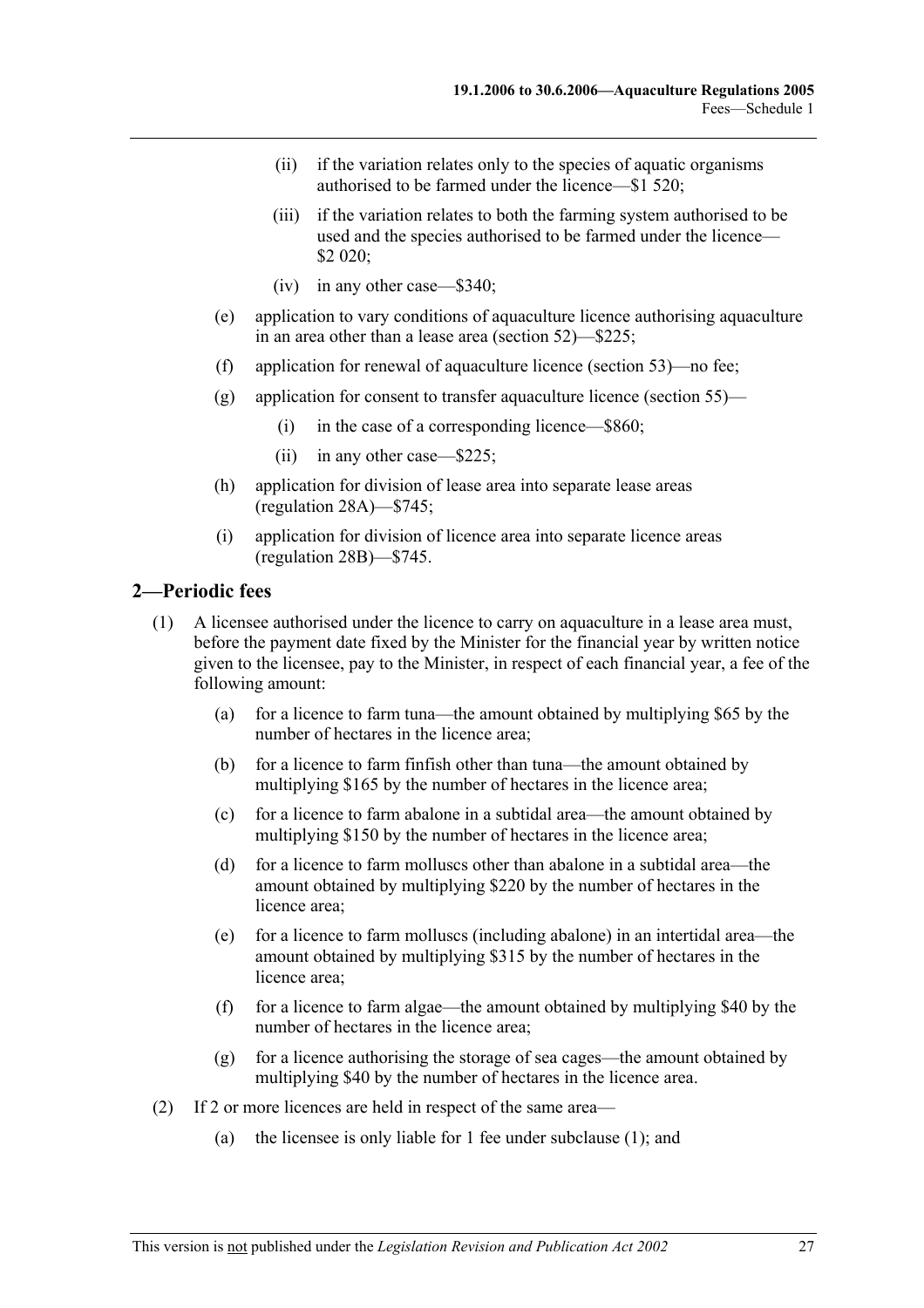- (ii) if the variation relates only to the species of aquatic organisms authorised to be farmed under the licence—\$1 520;
- (iii) if the variation relates to both the farming system authorised to be used and the species authorised to be farmed under the licence— \$2 020;
- (iv) in any other case—\$340;
- (e) application to vary conditions of aquaculture licence authorising aquaculture in an area other than a lease area (section 52)—\$225;
- (f) application for renewal of aquaculture licence (section 53)—no fee;
- (g) application for consent to transfer aquaculture licence (section 55)—
	- (i) in the case of a corresponding licence—\$860;
	- (ii) in any other case—\$225;
- (h) application for division of lease area into separate lease areas (regulation 28A)—\$745;
- (i) application for division of licence area into separate licence areas (regulation 28B)—\$745.

#### **2—Periodic fees**

- (1) A licensee authorised under the licence to carry on aquaculture in a lease area must, before the payment date fixed by the Minister for the financial year by written notice given to the licensee, pay to the Minister, in respect of each financial year, a fee of the following amount:
	- (a) for a licence to farm tuna—the amount obtained by multiplying \$65 by the number of hectares in the licence area;
	- (b) for a licence to farm finfish other than tuna—the amount obtained by multiplying \$165 by the number of hectares in the licence area;
	- (c) for a licence to farm abalone in a subtidal area—the amount obtained by multiplying \$150 by the number of hectares in the licence area;
	- (d) for a licence to farm molluscs other than abalone in a subtidal area—the amount obtained by multiplying \$220 by the number of hectares in the licence area;
	- (e) for a licence to farm molluscs (including abalone) in an intertidal area—the amount obtained by multiplying \$315 by the number of hectares in the licence area;
	- (f) for a licence to farm algae—the amount obtained by multiplying \$40 by the number of hectares in the licence area;
	- (g) for a licence authorising the storage of sea cages—the amount obtained by multiplying \$40 by the number of hectares in the licence area.
- (2) If 2 or more licences are held in respect of the same area—
	- (a) the licensee is only liable for 1 fee under subclause (1); and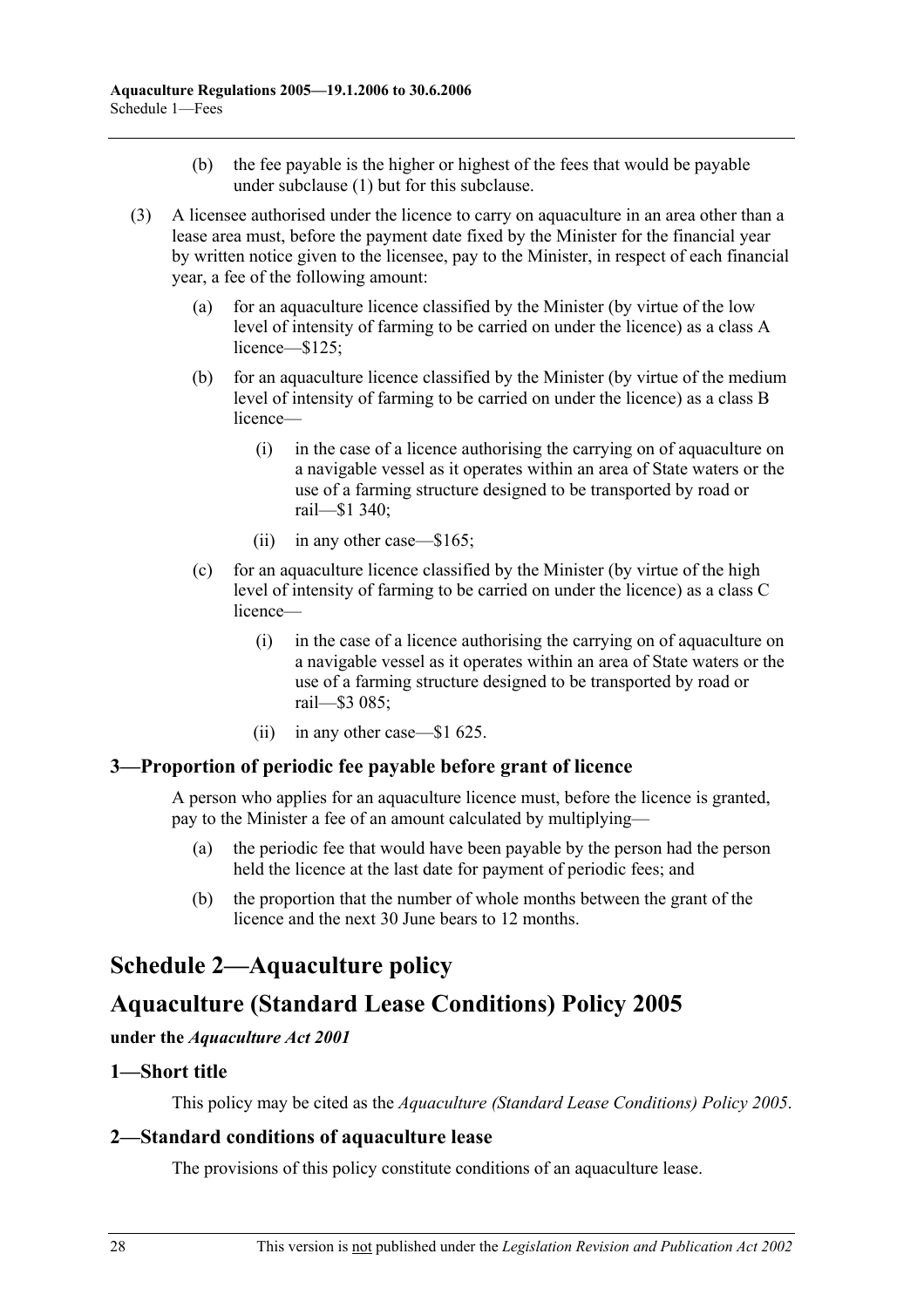- (b) the fee payable is the higher or highest of the fees that would be payable under subclause (1) but for this subclause.
- (3) A licensee authorised under the licence to carry on aquaculture in an area other than a lease area must, before the payment date fixed by the Minister for the financial year by written notice given to the licensee, pay to the Minister, in respect of each financial year, a fee of the following amount:
	- (a) for an aquaculture licence classified by the Minister (by virtue of the low level of intensity of farming to be carried on under the licence) as a class A licence—\$125;
	- (b) for an aquaculture licence classified by the Minister (by virtue of the medium level of intensity of farming to be carried on under the licence) as a class B licence—
		- (i) in the case of a licence authorising the carrying on of aquaculture on a navigable vessel as it operates within an area of State waters or the use of a farming structure designed to be transported by road or rail—\$1 340;
		- (ii) in any other case—\$165;
	- (c) for an aquaculture licence classified by the Minister (by virtue of the high level of intensity of farming to be carried on under the licence) as a class C licence—
		- (i) in the case of a licence authorising the carrying on of aquaculture on a navigable vessel as it operates within an area of State waters or the use of a farming structure designed to be transported by road or rail—\$3 085;
		- (ii) in any other case—\$1 625.

### **3—Proportion of periodic fee payable before grant of licence**

A person who applies for an aquaculture licence must, before the licence is granted, pay to the Minister a fee of an amount calculated by multiplying—

- (a) the periodic fee that would have been payable by the person had the person held the licence at the last date for payment of periodic fees; and
- (b) the proportion that the number of whole months between the grant of the licence and the next 30 June bears to 12 months.

# **Schedule 2—Aquaculture policy**

# **Aquaculture (Standard Lease Conditions) Policy 2005**

#### **under the** *Aquaculture Act 2001*

#### **1—Short title**

This policy may be cited as the *Aquaculture (Standard Lease Conditions) Policy 2005*.

### **2—Standard conditions of aquaculture lease**

The provisions of this policy constitute conditions of an aquaculture lease.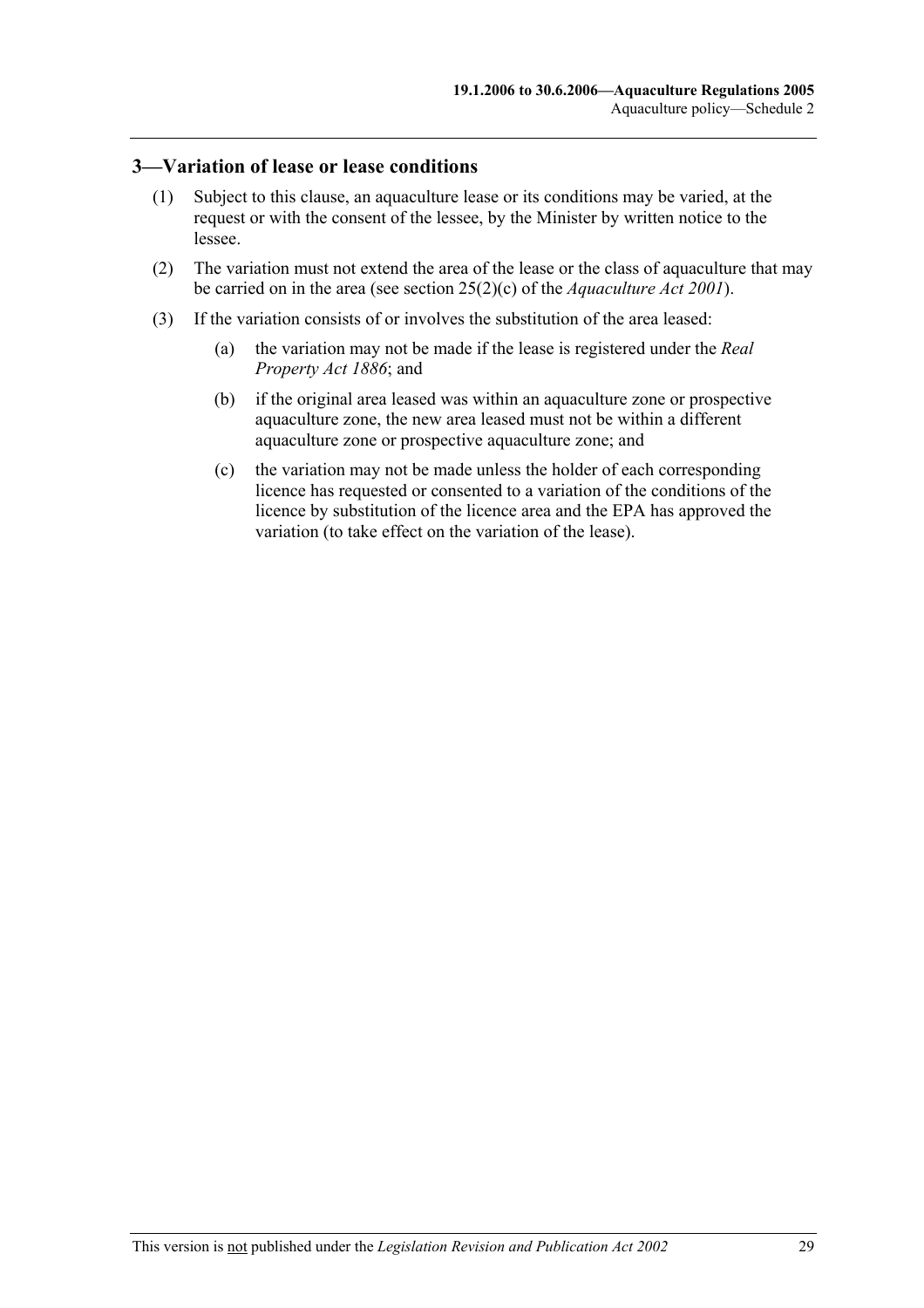#### **3—Variation of lease or lease conditions**

- (1) Subject to this clause, an aquaculture lease or its conditions may be varied, at the request or with the consent of the lessee, by the Minister by written notice to the lessee.
- (2) The variation must not extend the area of the lease or the class of aquaculture that may be carried on in the area (see section 25(2)(c) of the *Aquaculture Act 2001*).
- (3) If the variation consists of or involves the substitution of the area leased:
	- (a) the variation may not be made if the lease is registered under the *Real Property Act 1886*; and
	- (b) if the original area leased was within an aquaculture zone or prospective aquaculture zone, the new area leased must not be within a different aquaculture zone or prospective aquaculture zone; and
	- (c) the variation may not be made unless the holder of each corresponding licence has requested or consented to a variation of the conditions of the licence by substitution of the licence area and the EPA has approved the variation (to take effect on the variation of the lease).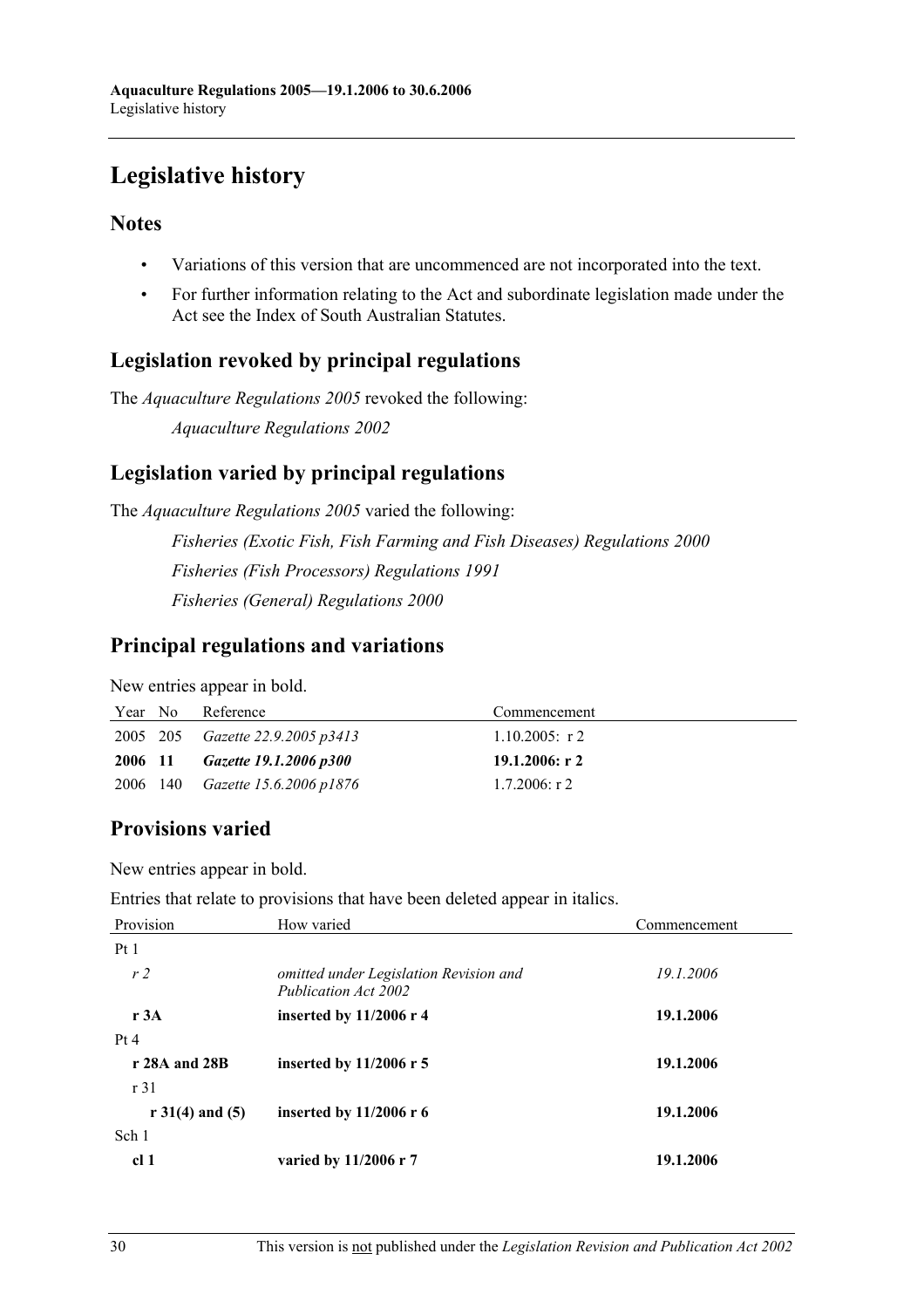# **Legislative history**

## **Notes**

- Variations of this version that are uncommenced are not incorporated into the text.
- For further information relating to the Act and subordinate legislation made under the Act see the Index of South Australian Statutes.

# **Legislation revoked by principal regulations**

The *Aquaculture Regulations 2005* revoked the following:

*Aquaculture Regulations 2002*

# **Legislation varied by principal regulations**

The *Aquaculture Regulations 2005* varied the following: *Fisheries (Exotic Fish, Fish Farming and Fish Diseases) Regulations 2000 Fisheries (Fish Processors) Regulations 1991 Fisheries (General) Regulations 2000*

## **Principal regulations and variations**

New entries appear in bold.

| Year No | Reference                               | Commencement      |
|---------|-----------------------------------------|-------------------|
|         | 2005 205 <i>Gazette 22.9.2005 p3413</i> | $1.10.2005$ : r 2 |
| 2006 11 | Gazette 19.1.2006 p300                  | 19.1.2006: r 2    |
|         | 2006 140 <i>Gazette 15.6.2006 p1876</i> | $1.7.2006$ : r 2  |

# **Provisions varied**

New entries appear in bold.

Entries that relate to provisions that have been deleted appear in italics.

| Provision           | How varied                                                     | Commencement |  |
|---------------------|----------------------------------------------------------------|--------------|--|
| Pt1                 |                                                                |              |  |
| r <sub>2</sub>      | omitted under Legislation Revision and<br>Publication Act 2002 | 19.1.2006    |  |
| r 3A                | inserted by $11/2006$ r 4                                      | 19.1.2006    |  |
| Pt 4                |                                                                |              |  |
| r 28A and 28B       | inserted by $11/2006$ r 5                                      | 19.1.2006    |  |
| r31                 |                                                                |              |  |
| $r 31(4)$ and $(5)$ | inserted by $11/2006$ r 6                                      | 19.1.2006    |  |
| Sch 1               |                                                                |              |  |
| cl <sub>1</sub>     | varied by 11/2006 r 7                                          | 19.1.2006    |  |